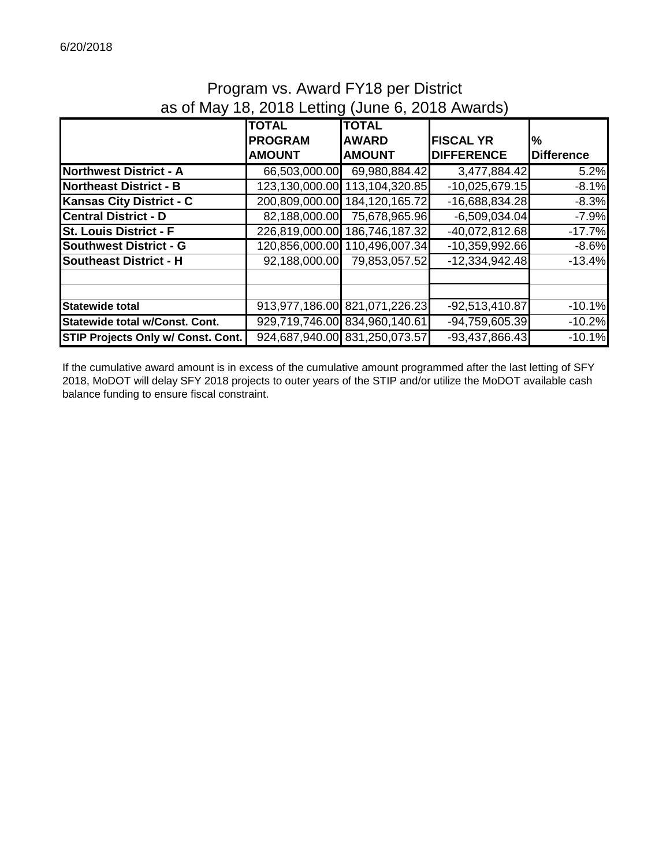#### Program vs. Award FY18 per District as of May 18, 2018 Letting (June 6, 2018 Awards)

|                                           | <b>TOTAL</b>   | <b>TOTAL</b>                  |                   |                   |
|-------------------------------------------|----------------|-------------------------------|-------------------|-------------------|
|                                           | <b>PROGRAM</b> | <b>AWARD</b>                  | <b>FISCAL YR</b>  | $\%$              |
|                                           | <b>AMOUNT</b>  | <b>AMOUNT</b>                 | <b>DIFFERENCE</b> | <b>Difference</b> |
| <b>Northwest District - A</b>             | 66,503,000.00  | 69,980,884.42                 | 3,477,884.42      | 5.2%              |
| <b>Northeast District - B</b>             | 123,130,000.00 | 113,104,320.85                | $-10,025,679.15$  | $-8.1%$           |
| <b>Kansas City District - C</b>           | 200,809,000.00 | 184, 120, 165. 72             | $-16,688,834.28$  | $-8.3%$           |
| <b>Central District - D</b>               | 82,188,000.00  | 75,678,965.96                 | $-6,509,034.04$   | $-7.9%$           |
| <b>St. Louis District - F</b>             | 226,819,000.00 | 186,746,187.32                | $-40,072,812.68$  | $-17.7%$          |
| <b>Southwest District - G</b>             | 120,856,000.00 | 110,496,007.34                | $-10,359,992.66$  | $-8.6%$           |
| <b>Southeast District - H</b>             | 92,188,000.00  | 79,853,057.52                 | $-12,334,942.48$  | $-13.4%$          |
|                                           |                |                               |                   |                   |
|                                           |                |                               |                   |                   |
| <b>Statewide total</b>                    |                | 913,977,186.00 821,071,226.23 | $-92,513,410.87$  | $-10.1%$          |
| Statewide total w/Const. Cont.            |                | 929,719,746.00 834,960,140.61 | $-94,759,605.39$  | $-10.2%$          |
| <b>STIP Projects Only w/ Const. Cont.</b> |                | 924,687,940.00 831,250,073.57 | $-93,437,866.43$  | $-10.1%$          |

If the cumulative award amount is in excess of the cumulative amount programmed after the last letting of SFY 2018, MoDOT will delay SFY 2018 projects to outer years of the STIP and/or utilize the MoDOT available cash balance funding to ensure fiscal constraint.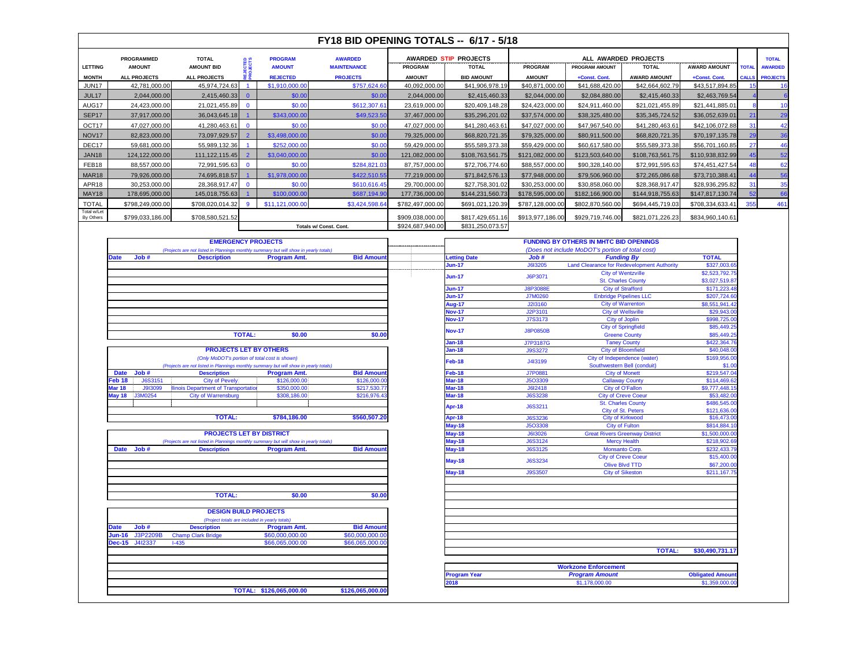|  | <u>ka kuumaa kuumaa kuumaa kuumaa kuumaa kuumaa kuumaa kuumaa kuumaa kuumaa kuumaa kuumaa kuumaa kuumaa kuumaa k</u>  |  |  |  | <u>a kutoka katika saidi saidi saidi saidi saidi saidi saidi saidi saidi saidi saidi saidi saidi saidi saidi saidi</u><br><u>ka kutoka kutoka kutoka kutoka kutoka kutoka kutoka kutoka kutoka kutoka kutoka kutoka kutoka kutoka kutoka k</u> |  |  |  |
|--|-----------------------------------------------------------------------------------------------------------------------|--|--|--|------------------------------------------------------------------------------------------------------------------------------------------------------------------------------------------------------------------------------------------------|--|--|--|
|  | <u>ransa kasara sedang pada tahun 1992. Pada tahun 1993 dan pada tahun 1993 dan pada tahun 1994. Pada tahun 1994 </u> |  |  |  |                                                                                                                                                                                                                                                |  |  |  |
|  | <u>a kultuu saa maan sanaa sanaa sanaa sanaa sanaa sanaa sanaa sanaa sanaa sanaa sanaa sanaa sanaa sanaa sanaa sa</u> |  |  |  |                                                                                                                                                                                                                                                |  |  |  |

|  | ,,,,,,,,,,,,,,,,,,,,, |  |  |  |  |  |  |
|--|-----------------------|--|--|--|--|--|--|
|  |                       |  |  |  |  |  |  |
|  |                       |  |  |  |  |  |  |
|  |                       |  |  |  |  |  |  |
|  |                       |  |  |  |  |  |  |
|  |                       |  |  |  |  |  |  |
|  |                       |  |  |  |  |  |  |
|  |                       |  |  |  |  |  |  |
|  |                       |  |  |  |  |  |  |
|  |                       |  |  |  |  |  |  |
|  |                       |  |  |  |  |  |  |
|  |                       |  |  |  |  |  |  |
|  |                       |  |  |  |  |  |  |
|  |                       |  |  |  |  |  |  |
|  |                       |  |  |  |  |  |  |
|  |                       |  |  |  |  |  |  |
|  |                       |  |  |  |  |  |  |
|  |                       |  |  |  |  |  |  |
|  |                       |  |  |  |  |  |  |
|  |                       |  |  |  |  |  |  |
|  |                       |  |  |  |  |  |  |
|  |                       |  |  |  |  |  |  |
|  |                       |  |  |  |  |  |  |
|  |                       |  |  |  |  |  |  |
|  |                       |  |  |  |  |  |  |
|  |                       |  |  |  |  |  |  |
|  |                       |  |  |  |  |  |  |
|  |                       |  |  |  |  |  |  |
|  |                       |  |  |  |  |  |  |
|  |                       |  |  |  |  |  |  |
|  |                       |  |  |  |  |  |  |
|  |                       |  |  |  |  |  |  |
|  |                       |  |  |  |  |  |  |
|  |                       |  |  |  |  |  |  |
|  |                       |  |  |  |  |  |  |
|  |                       |  |  |  |  |  |  |
|  |                       |  |  |  |  |  |  |
|  |                       |  |  |  |  |  |  |
|  |                       |  |  |  |  |  |  |
|  |                       |  |  |  |  |  |  |
|  |                       |  |  |  |  |  |  |
|  |                       |  |  |  |  |  |  |
|  |                       |  |  |  |  |  |  |
|  |                       |  |  |  |  |  |  |
|  |                       |  |  |  |  |  |  |
|  |                       |  |  |  |  |  |  |
|  |                       |  |  |  |  |  |  |
|  |                       |  |  |  |  |  |  |
|  |                       |  |  |  |  |  |  |
|  |                       |  |  |  |  |  |  |
|  |                       |  |  |  |  |  |  |
|  |                       |  |  |  |  |  |  |
|  |                       |  |  |  |  |  |  |
|  |                       |  |  |  |  |  |  |
|  |                       |  |  |  |  |  |  |
|  |                       |  |  |  |  |  |  |
|  |                       |  |  |  |  |  |  |
|  |                       |  |  |  |  |  |  |
|  |                       |  |  |  |  |  |  |
|  |                       |  |  |  |  |  |  |
|  |                       |  |  |  |  |  |  |
|  |                       |  |  |  |  |  |  |
|  |                       |  |  |  |  |  |  |
|  |                       |  |  |  |  |  |  |
|  |                       |  |  |  |  |  |  |

|  |  | <u>a kultuu kultuu kultuu kultuu kultuu kultuu kontaa sivallisessa sivallisessa kontaa sivallisessa sivallisessa</u> |  |  |  |
|--|--|----------------------------------------------------------------------------------------------------------------------|--|--|--|
|  |  |                                                                                                                      |  |  |  |
|  |  |                                                                                                                      |  |  |  |
|  |  |                                                                                                                      |  |  |  |
|  |  |                                                                                                                      |  |  |  |
|  |  |                                                                                                                      |  |  |  |
|  |  |                                                                                                                      |  |  |  |
|  |  |                                                                                                                      |  |  |  |
|  |  |                                                                                                                      |  |  |  |
|  |  |                                                                                                                      |  |  |  |
|  |  |                                                                                                                      |  |  |  |
|  |  |                                                                                                                      |  |  |  |
|  |  |                                                                                                                      |  |  |  |
|  |  |                                                                                                                      |  |  |  |
|  |  |                                                                                                                      |  |  |  |
|  |  |                                                                                                                      |  |  |  |
|  |  |                                                                                                                      |  |  |  |
|  |  |                                                                                                                      |  |  |  |
|  |  |                                                                                                                      |  |  |  |
|  |  |                                                                                                                      |  |  |  |
|  |  |                                                                                                                      |  |  |  |
|  |  |                                                                                                                      |  |  |  |
|  |  |                                                                                                                      |  |  |  |
|  |  |                                                                                                                      |  |  |  |
|  |  |                                                                                                                      |  |  |  |
|  |  |                                                                                                                      |  |  |  |
|  |  |                                                                                                                      |  |  |  |
|  |  |                                                                                                                      |  |  |  |
|  |  |                                                                                                                      |  |  |  |
|  |  |                                                                                                                      |  |  |  |
|  |  |                                                                                                                      |  |  |  |
|  |  |                                                                                                                      |  |  |  |
|  |  |                                                                                                                      |  |  |  |
|  |  |                                                                                                                      |  |  |  |
|  |  |                                                                                                                      |  |  |  |
|  |  |                                                                                                                      |  |  |  |
|  |  |                                                                                                                      |  |  |  |
|  |  |                                                                                                                      |  |  |  |
|  |  |                                                                                                                      |  |  |  |
|  |  |                                                                                                                      |  |  |  |
|  |  |                                                                                                                      |  |  |  |
|  |  |                                                                                                                      |  |  |  |
|  |  |                                                                                                                      |  |  |  |
|  |  |                                                                                                                      |  |  |  |
|  |  |                                                                                                                      |  |  |  |
|  |  |                                                                                                                      |  |  |  |
|  |  |                                                                                                                      |  |  |  |
|  |  |                                                                                                                      |  |  |  |
|  |  |                                                                                                                      |  |  |  |
|  |  |                                                                                                                      |  |  |  |
|  |  |                                                                                                                      |  |  |  |
|  |  |                                                                                                                      |  |  |  |
|  |  |                                                                                                                      |  |  |  |
|  |  |                                                                                                                      |  |  |  |
|  |  |                                                                                                                      |  |  |  |
|  |  |                                                                                                                      |  |  |  |
|  |  |                                                                                                                      |  |  |  |
|  |  |                                                                                                                      |  |  |  |
|  |  |                                                                                                                      |  |  |  |
|  |  |                                                                                                                      |  |  |  |
|  |  |                                                                                                                      |  |  |  |
|  |  |                                                                                                                      |  |  |  |
|  |  |                                                                                                                      |  |  |  |
|  |  |                                                                                                                      |  |  |  |

| .<br>. | . | mana any kaominin |        |  |
|--------|---|-------------------|--------|--|
|        |   |                   |        |  |
|        |   |                   |        |  |
|        |   |                   |        |  |
|        |   |                   |        |  |
|        |   |                   |        |  |
|        |   |                   |        |  |
|        |   |                   |        |  |
|        |   |                   |        |  |
|        |   |                   |        |  |
|        |   |                   |        |  |
|        |   |                   |        |  |
|        |   |                   |        |  |
|        |   |                   |        |  |
|        |   |                   |        |  |
|        |   |                   |        |  |
|        |   |                   |        |  |
|        |   |                   |        |  |
|        |   |                   |        |  |
|        |   |                   |        |  |
|        |   |                   |        |  |
|        |   |                   |        |  |
|        |   |                   |        |  |
|        |   |                   |        |  |
|        |   |                   |        |  |
|        |   |                   |        |  |
|        |   |                   |        |  |
|        |   |                   |        |  |
|        |   |                   |        |  |
|        |   |                   |        |  |
|        |   |                   |        |  |
|        |   |                   |        |  |
|        |   |                   |        |  |
|        |   |                   |        |  |
|        |   |                   |        |  |
|        |   |                   |        |  |
|        |   |                   |        |  |
|        |   |                   |        |  |
|        |   |                   |        |  |
|        |   |                   |        |  |
|        |   |                   |        |  |
|        |   |                   |        |  |
|        |   |                   |        |  |
|        |   |                   |        |  |
|        |   |                   |        |  |
|        |   |                   |        |  |
|        |   |                   |        |  |
|        |   |                   |        |  |
|        |   |                   |        |  |
|        |   |                   |        |  |
|        |   |                   |        |  |
|        |   |                   |        |  |
|        |   |                   |        |  |
|        |   |                   |        |  |
|        |   |                   |        |  |
|        |   |                   |        |  |
|        |   |                   |        |  |
|        |   |                   |        |  |
|        |   |                   |        |  |
|        |   | .                 | .<br>. |  |
|        |   |                   |        |  |
|        |   |                   |        |  |

|  |  |  |  |  |  |  |  |  |  | mm |  |  |  |  |  |  |  |  |  |  |  |  |  |  |  |  |  |
|--|--|--|--|--|--|--|--|--|--|----|--|--|--|--|--|--|--|--|--|--|--|--|--|--|--|--|--|
|  |  |  |  |  |  |  |  |  |  |    |  |  |  |  |  |  |  |  |  |  |  |  |  |  |  |  |  |
|  |  |  |  |  |  |  |  |  |  |    |  |  |  |  |  |  |  |  |  |  |  |  |  |  |  |  |  |
|  |  |  |  |  |  |  |  |  |  |    |  |  |  |  |  |  |  |  |  |  |  |  |  |  |  |  |  |
|  |  |  |  |  |  |  |  |  |  |    |  |  |  |  |  |  |  |  |  |  |  |  |  |  |  |  |  |
|  |  |  |  |  |  |  |  |  |  |    |  |  |  |  |  |  |  |  |  |  |  |  |  |  |  |  |  |
|  |  |  |  |  |  |  |  |  |  |    |  |  |  |  |  |  |  |  |  |  |  |  |  |  |  |  |  |
|  |  |  |  |  |  |  |  |  |  |    |  |  |  |  |  |  |  |  |  |  |  |  |  |  |  |  |  |
|  |  |  |  |  |  |  |  |  |  |    |  |  |  |  |  |  |  |  |  |  |  |  |  |  |  |  |  |
|  |  |  |  |  |  |  |  |  |  |    |  |  |  |  |  |  |  |  |  |  |  |  |  |  |  |  |  |
|  |  |  |  |  |  |  |  |  |  |    |  |  |  |  |  |  |  |  |  |  |  |  |  |  |  |  |  |
|  |  |  |  |  |  |  |  |  |  |    |  |  |  |  |  |  |  |  |  |  |  |  |  |  |  |  |  |
|  |  |  |  |  |  |  |  |  |  |    |  |  |  |  |  |  |  |  |  |  |  |  |  |  |  |  |  |
|  |  |  |  |  |  |  |  |  |  |    |  |  |  |  |  |  |  |  |  |  |  |  |  |  |  |  |  |
|  |  |  |  |  |  |  |  |  |  |    |  |  |  |  |  |  |  |  |  |  |  |  |  |  |  |  |  |
|  |  |  |  |  |  |  |  |  |  |    |  |  |  |  |  |  |  |  |  |  |  |  |  |  |  |  |  |
|  |  |  |  |  |  |  |  |  |  |    |  |  |  |  |  |  |  |  |  |  |  |  |  |  |  |  |  |
|  |  |  |  |  |  |  |  |  |  |    |  |  |  |  |  |  |  |  |  |  |  |  |  |  |  |  |  |
|  |  |  |  |  |  |  |  |  |  |    |  |  |  |  |  |  |  |  |  |  |  |  |  |  |  |  |  |
|  |  |  |  |  |  |  |  |  |  |    |  |  |  |  |  |  |  |  |  |  |  |  |  |  |  |  |  |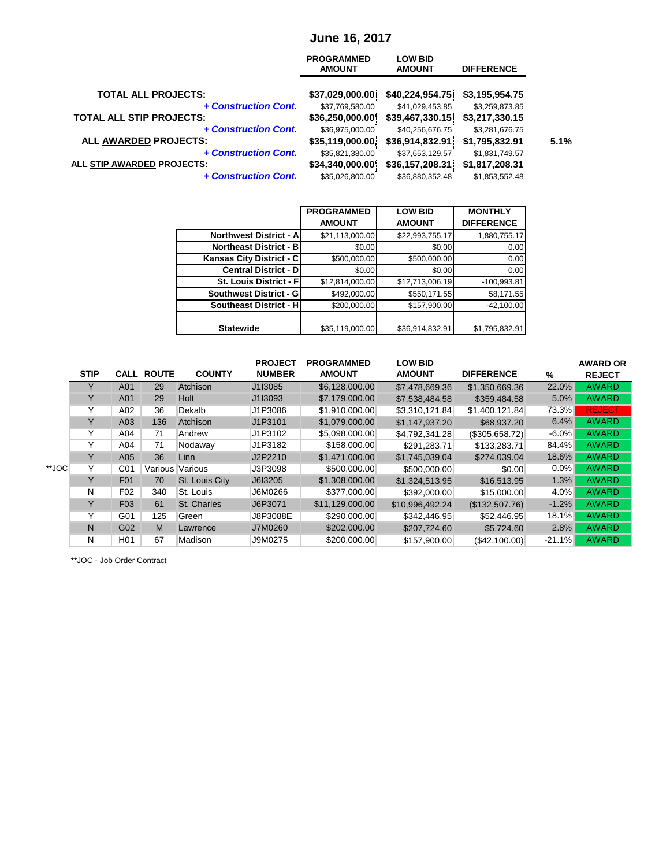#### **June 16, 2017**

|                                 | <b>PROGRAMMED</b><br><b>AMOUNT</b> | <b>LOW BID</b><br><b>AMOUNT</b> | <b>DIFFERENCE</b> |      |
|---------------------------------|------------------------------------|---------------------------------|-------------------|------|
| <b>TOTAL ALL PROJECTS:</b>      | \$37,029,000.00]                   | \$40,224,954.75]                | \$3,195,954.75    |      |
| + Construction Cont.            | \$37,769,580.00                    | \$41,029,453.85                 | \$3,259,873.85    |      |
| <b>TOTAL ALL STIP PROJECTS:</b> | \$36,250,000.00]                   | \$39,467,330.15                 | \$3,217,330.15    |      |
| + Construction Cont.            | \$36,975,000.00                    | \$40,256,676.75                 | \$3,281,676.75    |      |
| ALL AWARDED PROJECTS:           | \$35,119,000.00                    | \$36,914,832.91                 | \$1,795,832.91    | 5.1% |
| + Construction Cont.            | \$35,821,380.00                    | \$37,653,129.57                 | \$1,831,749.57    |      |
| ALL STIP AWARDED PROJECTS:      | \$34,340,000.00                    | \$36,157,208.31]                | \$1,817,208.31    |      |
| + Construction Cont.            | \$35,026,800.00                    | \$36,880,352.48                 | \$1,853,552.48    |      |

|                               | <b>PROGRAMMED</b> | <b>LOW BID</b>  | <b>MONTHLY</b>    |
|-------------------------------|-------------------|-----------------|-------------------|
|                               | <b>AMOUNT</b>     | <b>AMOUNT</b>   | <b>DIFFERENCE</b> |
| <b>Northwest District - A</b> | \$21,113,000.00   | \$22,993,755.17 | 1,880,755.17      |
| <b>Northeast District - B</b> | \$0.00            | \$0.00          | 0.00              |
| Kansas City District - C      | \$500,000.00      | \$500,000.00    | 0.00              |
| <b>Central District - D</b>   | \$0.00            | \$0.00          | 0.00              |
| St. Louis District - F        | \$12,814,000.00   | \$12,713,006.19 | $-100,993.81$     |
| Southwest District - G        | \$492,000.00      | \$550,171.55    | 58,171.55         |
| <b>Southeast District - H</b> | \$200,000.00      | \$157,900.00    | $-42,100.00$      |
|                               |                   |                 |                   |
| <b>Statewide</b>              | \$35,119,000.00   | \$36,914,832.91 | \$1,795,832.91    |

|       | <b>STIP</b>  | <b>CALL</b>      | <b>ROUTE</b> | <b>COUNTY</b>  | <b>PROJECT</b><br><b>NUMBER</b> | <b>PROGRAMMED</b><br><b>AMOUNT</b> | <b>LOW BID</b><br><b>AMOUNT</b> | <b>DIFFERENCE</b> | %        | <b>AWARD OR</b><br><b>REJECT</b> |
|-------|--------------|------------------|--------------|----------------|---------------------------------|------------------------------------|---------------------------------|-------------------|----------|----------------------------------|
|       | Y            | A01              | 29           | Atchison       | J1I3085                         | \$6,128,000.00                     | \$7,478,669.36                  | \$1,350,669.36    | 22.0%    | <b>AWARD</b>                     |
|       | Y            | A01              | 29           | Holt           | J1I3093                         | \$7,179,000.00                     | \$7,538,484.58                  | \$359,484.58      | 5.0%     | <b>AWARD</b>                     |
|       | Y            | A02              | 36           | Dekalb         | J1P3086                         | \$1,910,000.00                     | \$3,310,121.84                  | \$1,400,121.84    | 73.3%    | <b>REJECT</b>                    |
|       | Y            | A03              | 136          | Atchison       | J1P3101                         | \$1,079,000.00                     | \$1,147,937.20                  | \$68,937.20       | 6.4%     | <b>AWARD</b>                     |
|       | Y            | A04              | 71           | Andrew         | J1P3102                         | \$5,098,000.00                     | \$4,792,341.28                  | (\$305,658.72)    | $-6.0\%$ | <b>AWARD</b>                     |
|       | Υ            | A04              | 71           | Nodaway        | J1P3182                         | \$158,000.00                       | \$291,283.71                    | \$133,283.71      | 84.4%    | <b>AWARD</b>                     |
|       | Y            | A05              | 36           | Linn           | J2P2210                         | \$1,471,000.00                     | \$1,745,039.04                  | \$274,039.04      | 18.6%    | <b>AWARD</b>                     |
| **JOC | Y            | C <sub>01</sub>  | Various      | Various        | J3P3098                         | \$500,000.00                       | \$500,000.00                    | \$0.00            | $0.0\%$  | <b>AWARD</b>                     |
|       | Y            | F01              | 70           | St. Louis City | J6I3205                         | \$1,308,000.00                     | \$1,324,513.95                  | \$16,513.95       | 1.3%     | <b>AWARD</b>                     |
|       | $\mathsf{N}$ | F <sub>02</sub>  | 340          | St. Louis      | J6M0266                         | \$377,000.00                       | \$392,000.00                    | \$15,000.00       | $4.0\%$  | <b>AWARD</b>                     |
|       | Y            | F <sub>03</sub>  | 61           | St. Charles    | J6P3071                         | \$11,129,000.00                    | \$10,996,492.24                 | (\$132,507.76)    | $-1.2%$  | <b>AWARD</b>                     |
|       | Y            | G01              | 125          | Green          | J8P3088E                        | \$290,000.00                       | \$342,446.95                    | \$52,446.95       | 18.1%    | <b>AWARD</b>                     |
|       | N            | G02              | M            | Lawrence       | J7M0260                         | \$202,000.00                       | \$207,724.60                    | \$5,724.60        | 2.8%     | <b>AWARD</b>                     |
|       | N            | H <sub>0</sub> 1 | 67           | Madison        | J9M0275                         | \$200,000.00                       | \$157,900.00                    | (\$42,100.00)     | $-21.1%$ | <b>AWARD</b>                     |

\*\*JOC - Job Order Contract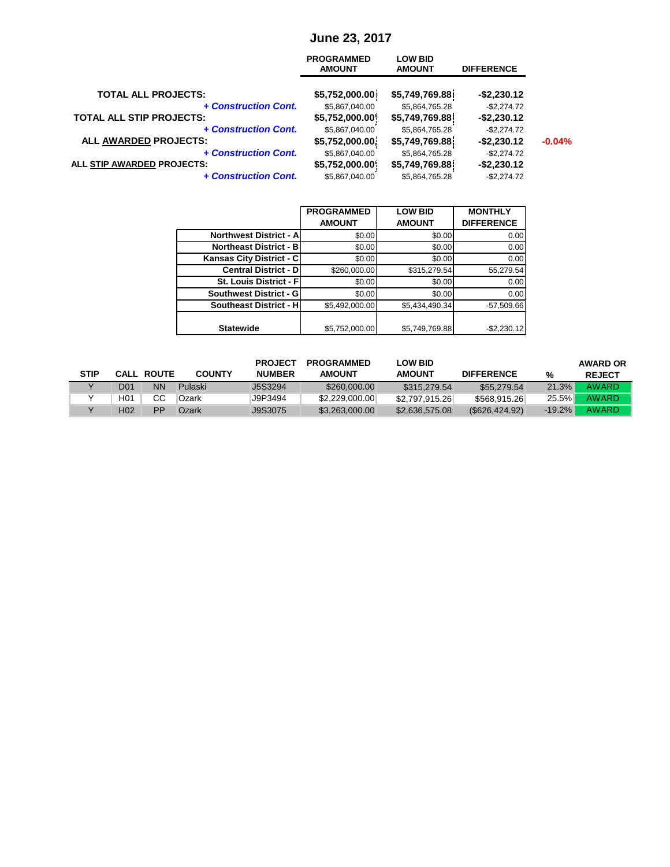## **June 23, 2017**

|                                 | <b>PROGRAMMED</b><br><b>AMOUNT</b> | <b>LOW BID</b><br><b>AMOUNT</b> | <b>DIFFERENCE</b> |          |
|---------------------------------|------------------------------------|---------------------------------|-------------------|----------|
| <b>TOTAL ALL PROJECTS:</b>      | \$5,752,000.00]                    | \$5,749,769.88]                 | $-$2,230.12$      |          |
| + Construction Cont.            | \$5,867,040.00                     | \$5,864,765.28                  | $-$2,274.72$      |          |
| <b>TOTAL ALL STIP PROJECTS:</b> | \$5,752,000.00]                    | \$5,749,769.88                  | $-$2,230.12$      |          |
| + Construction Cont.            | \$5,867,040.00                     | \$5,864,765.28                  | $-$2,274.72$      |          |
| ALL AWARDED PROJECTS:           | \$5,752,000.00]                    | \$5,749,769.88]                 | $-$2,230.12$      | $-0.04%$ |
| + Construction Cont.            | \$5,867,040.00                     | \$5,864,765.28                  | $-$2,274.72$      |          |
| ALL STIP AWARDED PROJECTS:      | \$5,752,000.00                     | \$5,749,769.88                  | $-$2,230.12$      |          |
| + Construction Cont.            | \$5,867,040.00                     | \$5,864,765.28                  | $-$2,274.72$      |          |

|                               | <b>PROGRAMMED</b> | <b>LOW BID</b> | <b>MONTHLY</b>    |
|-------------------------------|-------------------|----------------|-------------------|
|                               | <b>AMOUNT</b>     | <b>AMOUNT</b>  | <b>DIFFERENCE</b> |
| <b>Northwest District - A</b> | \$0.00            | \$0.00         | 0.00              |
| <b>Northeast District - B</b> | \$0.00            | \$0.00         | 0.00              |
| Kansas City District - C      | \$0.00            | \$0.00         | 0.00              |
| <b>Central District - D</b>   | \$260,000.00      | \$315,279.54   | 55,279.54         |
| St. Louis District - F        | \$0.00            | \$0.00         | 0.00              |
| Southwest District - G        | \$0.00            | \$0.00         | 0.00              |
| <b>Southeast District - H</b> | \$5,492,000.00    | \$5,434,490.34 | $-57,509.66$      |
|                               |                   |                |                   |
| <b>Statewide</b>              | \$5,752,000.00    | \$5,749,769.88 | $-$2,230.12$      |

|             |     |                   |                | <b>PROJECT</b> | <b>PROGRAMMED</b> | <b>LOW BID</b> |                   |          | <b>AWARD OR</b> |
|-------------|-----|-------------------|----------------|----------------|-------------------|----------------|-------------------|----------|-----------------|
| <b>STIP</b> |     | <b>CALL ROUTE</b> | <b>COUNTY</b>  | <b>NUMBER</b>  | <b>AMOUNT</b>     | <b>AMOUNT</b>  | <b>DIFFERENCE</b> | %        | <b>REJECT</b>   |
|             | D01 | ΝN                | <b>Pulaski</b> | <b>J5S3294</b> | \$260,000.00      | \$315,279.54   | \$55,279.54       | 21.3%    | <b>AWARD</b>    |
|             | H01 | CС                | Ozark          | J9P3494        | \$2,229,000.00    | \$2,797,915.26 | \$568,915.26      | $25.5\%$ | <b>AWARD</b>    |
|             | H02 | PP                | Dzark          | J9S3075        | \$3,263,000.00    | \$2,636,575.08 | (S626, 424.92)    | $-19.2%$ | <b>AWARD</b>    |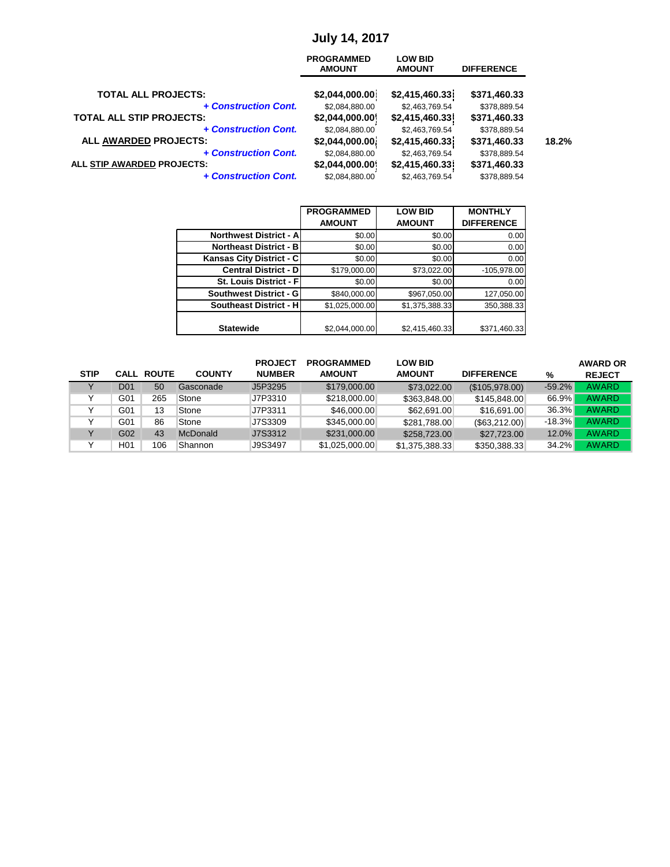# **July 14, 2017**

|                                               | <b>PROGRAMMED</b><br><b>AMOUNT</b> | <b>LOW BID</b><br><b>AMOUNT</b>   | <b>DIFFERENCE</b>            |       |
|-----------------------------------------------|------------------------------------|-----------------------------------|------------------------------|-------|
| <b>TOTAL ALL PROJECTS:</b>                    | \$2,044,000.00]                    | \$2,415,460.33]                   | \$371,460.33                 |       |
| + Construction Cont.                          | \$2,084,880.00                     | \$2,463,769.54                    | \$378,889.54                 |       |
| <b>TOTAL ALL STIP PROJECTS:</b>               | \$2,044,000.00                     | \$2,415,460.33]                   | \$371,460.33                 |       |
| + Construction Cont.<br>ALL AWARDED PROJECTS: | \$2,084,880.00<br>\$2,044,000.00]  | \$2,463,769.54<br>\$2,415,460.33] | \$378,889.54<br>\$371,460.33 | 18.2% |
| + Construction Cont.                          | \$2,084,880.00                     | \$2,463,769.54                    | \$378,889.54                 |       |
| ALL STIP AWARDED PROJECTS:                    | \$2,044,000.00                     | \$2,415,460.33'                   | \$371,460.33                 |       |
| + Construction Cont.                          | \$2,084,880.00                     | \$2,463,769.54                    | \$378,889.54                 |       |

|                               | <b>PROGRAMMED</b> | <b>LOW BID</b> | <b>MONTHLY</b>    |
|-------------------------------|-------------------|----------------|-------------------|
|                               | <b>AMOUNT</b>     | <b>AMOUNT</b>  | <b>DIFFERENCE</b> |
| <b>Northwest District - A</b> | \$0.00            | \$0.00         | 0.00              |
| <b>Northeast District - B</b> | \$0.00            | \$0.00         | 0.00              |
| Kansas City District - C      | \$0.00            | \$0.00         | 0.00              |
| <b>Central District - D</b>   | \$179,000.00      | \$73,022.00    | $-105,978.00$     |
| St. Louis District - Fl       | \$0.00            | \$0.00         | 0.00              |
| Southwest District - G        | \$840,000.00      | \$967,050.00   | 127,050.00        |
| <b>Southeast District - H</b> | \$1,025,000.00    | \$1,375,388.33 | 350,388.33        |
|                               |                   |                |                   |
| <b>Statewide</b>              | \$2,044,000.00    | \$2,415,460.33 | \$371,460.33      |

|             |                  |                   |               | <b>PROJECT</b> | <b>PROGRAMMED</b> | <b>LOW BID</b> |                   |          | <b>AWARD OR</b> |
|-------------|------------------|-------------------|---------------|----------------|-------------------|----------------|-------------------|----------|-----------------|
| <b>STIP</b> |                  | <b>CALL ROUTE</b> | <b>COUNTY</b> | <b>NUMBER</b>  | <b>AMOUNT</b>     | <b>AMOUNT</b>  | <b>DIFFERENCE</b> | %        | <b>REJECT</b>   |
|             | D <sub>0</sub> 1 | 50                | Gasconade     | J5P3295        | \$179,000.00      | \$73,022.00    | (\$105,978.00)    | $-59.2%$ | <b>AWARD</b>    |
|             | G01              | 265               | Stone         | J7P3310        | \$218,000.00      | \$363,848.00   | \$145,848.00      | 66.9%    | <b>AWARD</b>    |
|             | G01              | 13                | Stone         | J7P3311        | \$46,000.00       | \$62,691.00    | \$16,691.00       | 36.3%    | <b>AWARD</b>    |
|             | G01              | 86                | Stone         | J7S3309        | \$345,000.00      | \$281,788.00   | (\$63,212.00)     | $-18.3%$ | <b>AWARD</b>    |
|             | G02              | 43                | McDonald      | J7S3312        | \$231,000.00      | \$258,723.00   | \$27,723.00       | 12.0%    | <b>AWARD</b>    |
|             | H <sub>0</sub> 1 | 106               | Shannon       | J9S3497        | \$1,025,000.00    | \$1,375,388.33 | \$350,388.33      | $34.2\%$ | <b>AWARD</b>    |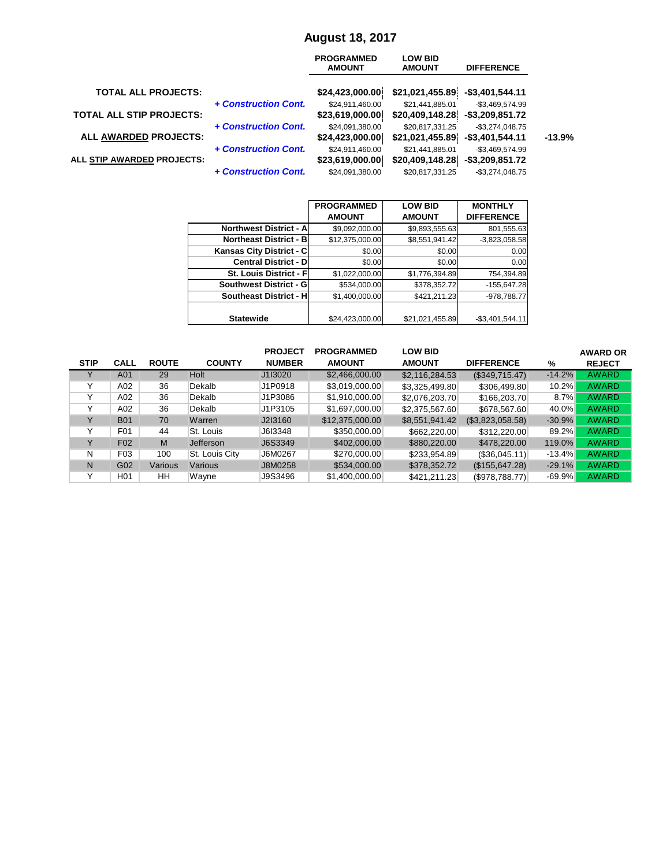|                                 |                      | <b>PROGRAMMED</b><br><b>AMOUNT</b> | <b>LOW BID</b><br><b>AMOUNT</b> | <b>DIFFERENCE</b>  |          |
|---------------------------------|----------------------|------------------------------------|---------------------------------|--------------------|----------|
| <b>TOTAL ALL PROJECTS:</b>      |                      | \$24,423,000.00                    | \$21,021,455.89                 | -\$3,401,544.11    |          |
|                                 | + Construction Cont. | \$24,911,460.00                    | \$21,441,885.01                 | $-$3,469,574.99$   |          |
| <b>TOTAL ALL STIP PROJECTS:</b> |                      | \$23,619,000.00]                   | \$20,409,148.28                 | $-$ \$3,209,851.72 |          |
|                                 | + Construction Cont. | \$24,091,380.00                    | \$20,817,331.25                 | $-$3,274,048.75$   |          |
| <b>ALL AWARDED PROJECTS:</b>    |                      | \$24,423,000.00]                   | \$21,021,455.89                 | $-$ \$3,401,544.11 | $-13.9%$ |
|                                 | + Construction Cont. | \$24,911,460.00                    | \$21,441,885.01                 | $-$3,469,574.99$   |          |
| ALL STIP AWARDED PROJECTS:      |                      | \$23,619,000.00                    | \$20,409,148.28                 | $-$ \$3,209,851.72 |          |
|                                 | + Construction Cont. | \$24,091,380.00                    | \$20,817,331.25                 | $-$ \$3,274,048.75 |          |

|                               | <b>PROGRAMMED</b> | <b>LOW BID</b>  | <b>MONTHLY</b>    |
|-------------------------------|-------------------|-----------------|-------------------|
|                               | <b>AMOUNT</b>     | <b>AMOUNT</b>   | <b>DIFFERENCE</b> |
| <b>Northwest District - A</b> | \$9,092,000.00    | \$9,893,555.63  | 801,555.63        |
| <b>Northeast District - B</b> | \$12,375,000.00   | \$8,551,941.42  | $-3,823,058.58$   |
| Kansas City District - C      | \$0.00            | \$0.00          | 0.00              |
| <b>Central District - D</b>   | \$0.00            | \$0.00          | 0.00              |
| St. Louis District - F        | \$1,022,000.00    | \$1,776,394.89  | 754,394.89        |
| <b>Southwest District - G</b> | \$534,000.00      | \$378,352.72    | $-155,647.28$     |
| Southeast District - H        | \$1,400,000.00    | \$421,211.23    | -978,788.77       |
|                               |                   |                 |                   |
| <b>Statewide</b>              | \$24,423,000.00   | \$21,021,455.89 | $-$3,401,544.11$  |

|             |                  |              |                | <b>PROJECT</b> | <b>PROGRAMMED</b> | <b>LOW BID</b> |                   |           | <b>AWARD OR</b> |
|-------------|------------------|--------------|----------------|----------------|-------------------|----------------|-------------------|-----------|-----------------|
| <b>STIP</b> | <b>CALL</b>      | <b>ROUTE</b> | <b>COUNTY</b>  | <b>NUMBER</b>  | <b>AMOUNT</b>     | <b>AMOUNT</b>  | <b>DIFFERENCE</b> | %         | <b>REJECT</b>   |
|             | A01              | 29           | Holt           | J1I3020        | \$2,466,000.00    | \$2,116,284.53 | (\$349,715.47)    | $-14.2%$  | <b>AWARD</b>    |
|             | A02              | 36           | Dekalb         | J1P0918        | \$3,019,000.00    | \$3,325,499.80 | \$306,499.80      | $10.2\%$  | <b>AWARD</b>    |
|             | A02              | 36           | Dekalb         | J1P3086        | \$1,910,000.00    | \$2,076,203.70 | \$166,203.70      | $8.7\%$   | <b>AWARD</b>    |
|             | A02              | 36           | Dekalb         | J1P3105        | \$1,697,000.00    | \$2,375,567.60 | \$678,567.60      | 40.0%     | <b>AWARD</b>    |
|             | <b>B01</b>       | 70           | Warren         | J2I3160        | \$12,375,000.00   | \$8,551,941.42 | (\$3,823,058.58)  | $-30.9%$  | <b>AWARD</b>    |
|             | F01              | 44           | St. Louis      | J6I3348        | \$350,000.00      | \$662,220.00   | \$312,220.00      | 89.2%     | <b>AWARD</b>    |
| v           | F <sub>02</sub>  | M            | Jefferson      | J6S3349        | \$402,000.00      | \$880,220.00   | \$478,220.00      | 119.0%    | <b>AWARD</b>    |
| N           | F03              | 100          | St. Louis City | J6M0267        | \$270,000.00      | \$233,954.89   | (\$36,045.11)     | $-13.4%$  | <b>AWARD</b>    |
| N           | G02              | Various      | Various        | J8M0258        | \$534,000.00      | \$378,352.72   | (\$155,647.28)    | $-29.1%$  | <b>AWARD</b>    |
| v           | H <sub>0</sub> 1 | HH           | Wayne          | J9S3496        | \$1,400,000.00    | \$421,211.23]  | (\$978,788.77)    | $-69.9\%$ | <b>AWARD</b>    |

## **August 18, 2017**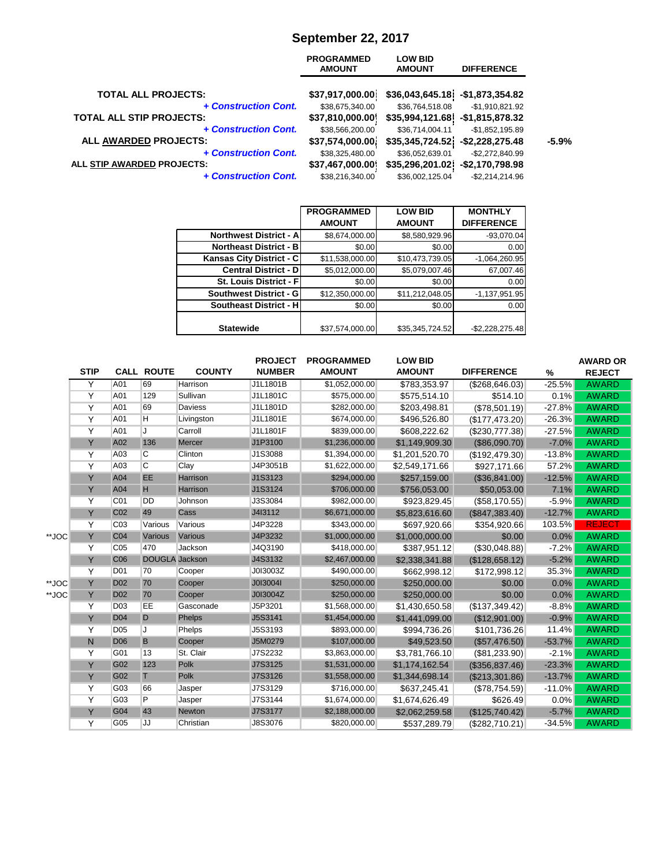#### **September 22, 2017**

| <b>PROGRAMMED</b><br><b>AMOUNT</b> | <b>LOW BID</b><br><b>AMOUNT</b> | <b>DIFFERENCE</b>  |                                                                                                                                    |
|------------------------------------|---------------------------------|--------------------|------------------------------------------------------------------------------------------------------------------------------------|
| \$37,917,000.00]                   |                                 |                    |                                                                                                                                    |
| \$38,675,340.00                    | \$36,764,518.08                 | $-$1,910,821.92$   |                                                                                                                                    |
| \$37,810,000.00                    |                                 |                    |                                                                                                                                    |
| \$38,566,200.00                    | \$36,714,004.11                 | $-$1,852,195.89$   |                                                                                                                                    |
| \$37,574,000.00]                   |                                 |                    | $-5.9%$                                                                                                                            |
| \$38,325,480.00                    | \$36,052,639.01                 | $-$2,272,840.99$   |                                                                                                                                    |
| \$37,467,000.00                    |                                 | $-$2,170,798.98$   |                                                                                                                                    |
| \$38,216,340.00                    | \$36,002,125.04                 | $-$ \$2,214,214.96 |                                                                                                                                    |
|                                    |                                 |                    | $$36,043,645.18$ -\$1,873,354.82<br>$$35,994,121.68$ -\$1,815,878.32<br>\$35,345,724.52]<br>$-$ \$2,228,275.48<br>\$35,296,201.02] |

|                               | <b>PROGRAMMED</b> | <b>LOW BID</b>  | <b>MONTHLY</b>    |
|-------------------------------|-------------------|-----------------|-------------------|
|                               | <b>AMOUNT</b>     | <b>AMOUNT</b>   | <b>DIFFERENCE</b> |
| <b>Northwest District - A</b> | \$8,674,000.00    | \$8,580,929.96  | $-93,070.04$      |
| <b>Northeast District - B</b> | \$0.00            | \$0.00          | 0.00              |
| Kansas City District - C      | \$11,538,000.00   | \$10,473,739.05 | $-1,064,260.95$   |
| <b>Central District - D</b>   | \$5,012,000.00    | \$5,079,007.46  | 67,007.46         |
| St. Louis District - Fl       | \$0.00            | \$0.00          | 0.00              |
| <b>Southwest District - G</b> | \$12,350,000.00   | \$11,212,048.05 | $-1,137,951.95$   |
| <b>Southeast District - H</b> | \$0.00            | \$0.00          | 0.00              |
|                               |                   |                 |                   |
| <b>Statewide</b>              | \$37,574,000.00   | \$35,345,724.52 | $-$2,228,275.48$  |

|       |                |                 |                         |                 | <b>PROJECT</b> | <b>PROGRAMMED</b> | <b>LOW BID</b> |                   |          | <b>AWARD OR</b> |
|-------|----------------|-----------------|-------------------------|-----------------|----------------|-------------------|----------------|-------------------|----------|-----------------|
|       | <b>STIP</b>    |                 | <b>CALL ROUTE</b>       | <b>COUNTY</b>   | <b>NUMBER</b>  | <b>AMOUNT</b>     | <b>AMOUNT</b>  | <b>DIFFERENCE</b> | %        | <b>REJECT</b>   |
|       | Y              | A01             | 69                      | <b>Harrison</b> | J1L1801B       | \$1,052,000.00    | \$783,353.97   | (\$268, 646.03)   | $-25.5%$ | <b>AWARD</b>    |
|       | $\overline{Y}$ | A01             | 129                     | Sullivan        | J1L1801C       | \$575,000.00      | \$575,514.10   | \$514.10          | 0.1%     | <b>AWARD</b>    |
|       | Y              | A01             | 69                      | <b>Daviess</b>  | J1L1801D       | \$282,000.00      | \$203,498.81   | (\$78,501.19)     | $-27.8%$ | <b>AWARD</b>    |
|       | $\overline{Y}$ | A01             | H                       | Livingston      | J1L1801E       | \$674,000.00      | \$496,526.80   | (\$177,473.20)    | $-26.3%$ | <b>AWARD</b>    |
|       | Ÿ              | A01             | J                       | Carroll         | J1L1801F       | \$839,000.00      | \$608,222.62   | (\$230,777.38)    | $-27.5%$ | <b>AWARD</b>    |
|       | Y              | A02             | 136                     | Mercer          | J1P3100        | \$1,236,000.00    | \$1,149,909.30 | (\$86,090.70)     | $-7.0%$  | <b>AWARD</b>    |
|       | Y              | A03             | C                       | Clinton         | J1S3088        | \$1,394,000.00    | \$1,201,520.70 | (\$192,479.30)    | $-13.8%$ | <b>AWARD</b>    |
|       | $\overline{Y}$ | A03             | $\overline{\mathsf{C}}$ | Clay            | J4P3051B       | \$1,622,000.00    | \$2,549,171.66 | \$927,171.66      | 57.2%    | <b>AWARD</b>    |
|       | Ÿ              | A04             | EE                      | Harrison        | J1S3123        | \$294,000.00      | \$257,159.00   | (\$36,841.00)     | $-12.5%$ | <b>AWARD</b>    |
|       | Y              | A04             | H                       | Harrison        | J1S3124        | \$706,000.00      | \$756,053.00   | \$50,053.00       | 7.1%     | <b>AWARD</b>    |
|       | Y              | C01             | <b>DD</b>               | Johnson         | J3S3084        | \$982,000.00      | \$923,829.45   | (\$58,170.55)     | $-5.9%$  | <b>AWARD</b>    |
|       | Y              | C <sub>02</sub> | 49                      | Cass            | J413112        | \$6,671,000.00    | \$5,823,616.60 | (\$847,383.40)    | $-12.7%$ | <b>AWARD</b>    |
|       | Y              | C <sub>03</sub> | Various                 | Various         | J4P3228        | \$343,000.00      | \$697,920.66   | \$354,920.66      | 103.5%   | <b>REJECT</b>   |
| **JOC | Y              | C <sub>04</sub> | Various                 | Various         | J4P3232        | \$1,000,000.00    | \$1,000,000.00 | \$0.00            | $0.0\%$  | <b>AWARD</b>    |
|       | Y              | C <sub>05</sub> | 470                     | Jackson         | J4Q3190        | \$418,000.00      | \$387,951.12   | (\$30,048.88)     | $-7.2%$  | <b>AWARD</b>    |
|       | Ÿ              | C <sub>06</sub> | <b>DOUGLA</b> Jackson   |                 | J4S3132        | \$2,467,000.00    | \$2,338,341.88 | (\$128,658.12)    | $-5.2%$  | <b>AWARD</b>    |
|       | Y              | <b>D01</b>      | 70                      | Cooper          | J0I3003Z       | \$490,000.00      | \$662,998.12   | \$172,998.12      | 35.3%    | <b>AWARD</b>    |
| **JOC | Y              | <b>D02</b>      | 70                      | Cooper          | J0I3004I       | \$250,000.00      | \$250,000.00   | \$0.00            | 0.0%     | <b>AWARD</b>    |
| **JOC | Y              | <b>D02</b>      | 70                      | Cooper          | J0I3004Z       | \$250,000.00      | \$250,000.00   | \$0.00            | 0.0%     | <b>AWARD</b>    |
|       | Y              | D <sub>03</sub> | EE                      | Gasconade       | J5P3201        | \$1,568,000.00    | \$1,430,650.58 | (\$137,349.42)    | $-8.8%$  | <b>AWARD</b>    |
|       | Y              | <b>D04</b>      | $\mathsf{D}$            | Phelps          | <b>J5S3141</b> | \$1,454,000.00    | \$1,441,099.00 | (\$12,901.00)     | $-0.9%$  | <b>AWARD</b>    |
|       | Y              | D <sub>05</sub> | J                       | Phelps          | J5S3193        | \$893,000.00      | \$994,736.26   | \$101,736.26      | 11.4%    | <b>AWARD</b>    |
|       | N              | <b>D06</b>      | B                       | Cooper          | J5M0279        | \$107,000.00      | \$49,523.50    | (\$57,476.50)     | $-53.7%$ | <b>AWARD</b>    |
|       | Y              | G01             | 13                      | St. Clair       | J7S2232        | \$3,863,000.00    | \$3,781,766.10 | ( \$81,233.90)    | $-2.1%$  | <b>AWARD</b>    |
|       | Ÿ              | G02             | 123                     | Polk            | J7S3125        | \$1,531,000.00    | \$1,174,162.54 | (\$356,837.46)    | $-23.3%$ | <b>AWARD</b>    |
|       | Y              | G02             | $\mathbb{T}$            | Polk            | J7S3126        | \$1,558,000.00    | \$1,344,698.14 | (\$213,301.86)    | $-13.7%$ | <b>AWARD</b>    |
|       | $\overline{Y}$ | G03             | 66                      | Jasper          | J7S3129        | \$716,000.00      | \$637,245.41   | (\$78,754.59)     | $-11.0%$ | <b>AWARD</b>    |
|       | $\overline{Y}$ | G03             | $\overline{P}$          | Jasper          | J7S3144        | \$1,674,000.00    | \$1,674,626.49 | \$626.49          | 0.0%     | <b>AWARD</b>    |
|       | Ÿ              | G04             | 43                      | <b>Newton</b>   | <b>J7S3177</b> | \$2,188,000.00    | \$2,062,259.58 | (\$125,740.42)    | $-5.7%$  | <b>AWARD</b>    |
|       | Y              | G05             | JJ                      | Christian       | J8S3076        | \$820,000.00      | \$537,289.79   | (\$282,710.21)    | $-34.5%$ | <b>AWARD</b>    |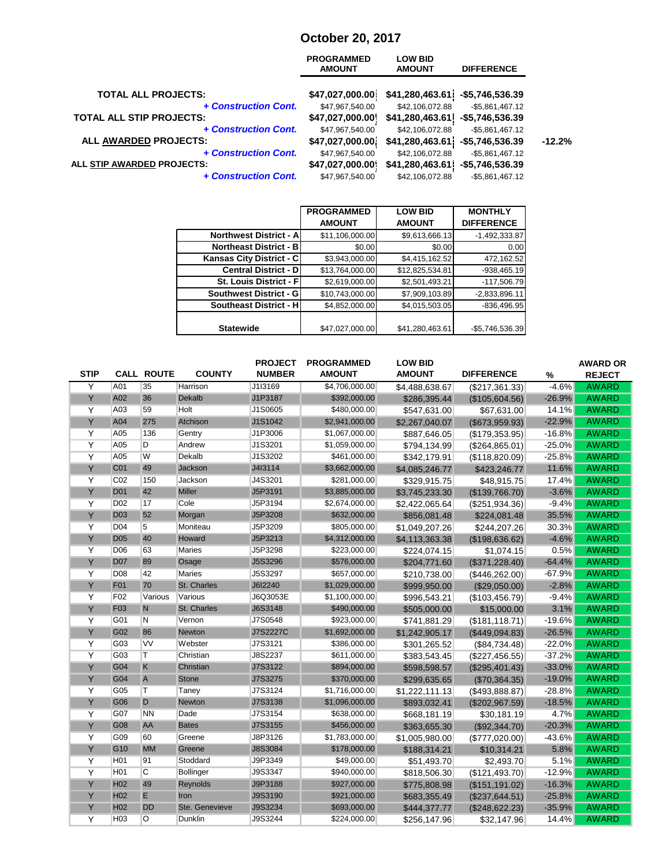# **October 20, 2017**

|                                 | <b>PROGRAMMED</b><br><b>AMOUNT</b> | <b>LOW BID</b><br><b>AMOUNT</b> | <b>DIFFERENCE</b>  |          |
|---------------------------------|------------------------------------|---------------------------------|--------------------|----------|
| <b>TOTAL ALL PROJECTS:</b>      | \$47,027,000.00]                   | \$41,280,463.61]                | -\$5,746,536.39    |          |
| + Construction Cont.            | \$47,967,540.00                    | \$42,106,072.88                 | $-$5,861,467.12$   |          |
| <b>TOTAL ALL STIP PROJECTS:</b> | \$47,027,000.00                    | \$41,280,463.61                 | -\$5,746,536.39    |          |
| + Construction Cont.            | \$47,967,540.00                    | \$42,106,072.88                 | $-$5,861,467.12$   |          |
| ALL AWARDED PROJECTS:           | \$47,027,000.00                    | \$41,280,463.61]                | $-$5,746,536.39$   | $-12.2%$ |
| + Construction Cont.            | \$47,967,540.00                    | \$42,106,072.88                 | $-$5,861,467.12$   |          |
| ALL STIP AWARDED PROJECTS:      | \$47,027,000.00                    | \$41,280,463.61                 | -\$5,746,536.39    |          |
| + Construction Cont.            | \$47,967,540.00                    | \$42,106,072.88                 | $-$ \$5,861,467.12 |          |
|                                 |                                    |                                 |                    |          |

|                               | <b>PROGRAMMED</b> | <b>LOW BID</b>  | <b>MONTHLY</b>    |
|-------------------------------|-------------------|-----------------|-------------------|
|                               | <b>AMOUNT</b>     | <b>AMOUNT</b>   | <b>DIFFERENCE</b> |
| <b>Northwest District - A</b> | \$11,106,000.00   | \$9,613,666.13  | $-1,492,333.87$   |
| <b>Northeast District - B</b> | \$0.00            | \$0.00          | 0.00              |
| Kansas City District - C      | \$3,943,000.00    | \$4,415,162.52  | 472,162.52        |
| <b>Central District - D</b>   | \$13,764,000.00   | \$12,825,534.81 | $-938,465.19$     |
| St. Louis District - F        | \$2,619,000.00    | \$2,501,493.21  | $-117,506.79$     |
| <b>Southwest District - G</b> | \$10,743,000.00   | \$7,909,103.89  | $-2,833,896.11$   |
| <b>Southeast District - H</b> | \$4,852,000.00    | \$4,015,503.05  | $-836,496.95$     |
|                               |                   |                 |                   |
| <b>Statewide</b>              | \$47,027,000.00   | \$41,280,463.61 | -\$5,746,536.39   |

| <b>STIP</b> |                  | <b>CALL ROUTE</b> | <b>COUNTY</b>    | <b>PROJECT</b><br><b>NUMBER</b> | <b>PROGRAMMED</b><br><b>AMOUNT</b> | <b>LOW BID</b><br><b>AMOUNT</b> | <b>DIFFERENCE</b>     | %        | <b>AWARD OR</b><br><b>REJECT</b> |
|-------------|------------------|-------------------|------------------|---------------------------------|------------------------------------|---------------------------------|-----------------------|----------|----------------------------------|
| Y           | A01              | 35                | Harrison         | J1I3169                         | \$4,706,000.00                     | \$4,488,638.67                  | (\$217,361.33)        | $-4.6%$  | <b>AWARD</b>                     |
| Y           | A02              | 36                | <b>Dekalb</b>    | J1P3187                         | \$392,000.00                       | \$286,395.44                    | (\$105,604.56)        | $-26.9%$ | <b>AWARD</b>                     |
| Y           | A03              | 59                | Holt             | J1S0605                         | \$480,000.00                       | \$547,631.00                    | \$67,631.00           | 14.1%    | <b>AWARD</b>                     |
| Y           | A04              | 275               | Atchison         | J1S1042                         | \$2,941,000.00                     | \$2,267,040.07                  | (\$673,959.93)        | $-22.9%$ | <b>AWARD</b>                     |
| Y           | A05              | 136               | Gentry           | J1P3006                         | \$1,067,000.00                     | \$887,646.05                    | (\$179,353.95)        | $-16.8%$ | <b>AWARD</b>                     |
| Y           | A05              | D                 | Andrew           | J1S3201                         | \$1,059,000.00                     | \$794,134.99                    | (\$264, 865.01)       | $-25.0%$ | <b>AWARD</b>                     |
| Y           | A05              | W                 | Dekalb           | J1S3202                         | \$461,000.00                       | \$342,179.91                    | (\$118,820.09)        | $-25.8%$ | <b>AWARD</b>                     |
| Y           | C <sub>01</sub>  | 49                | Jackson          | J413114                         | \$3,662,000.00                     | \$4,085,246.77                  | \$423,246.77          | 11.6%    | <b>AWARD</b>                     |
| Y           | C <sub>02</sub>  | 150               | Jackson          | J4S3201                         | \$281,000.00                       | \$329,915.75                    | \$48,915.75           | 17.4%    | <b>AWARD</b>                     |
| Y           | <b>D01</b>       | 42                | <b>Miller</b>    | J5P3191                         | \$3,885,000.00                     | \$3,745,233.30                  | (\$139,766.70)        | $-3.6%$  | <b>AWARD</b>                     |
| Y           | D <sub>02</sub>  | 17                | Cole             | J5P3194                         | \$2,674,000.00                     | \$2,422,065.64                  | (\$251,934.36)        | $-9.4%$  | <b>AWARD</b>                     |
| Y           | <b>D03</b>       | 52                | Morgan           | J5P3208                         | \$632,000.00                       | \$856,081.48                    | \$224,081.48          | 35.5%    | <b>AWARD</b>                     |
| Y           | D04              | 5                 | Moniteau         | J5P3209                         | \$805,000.00                       | \$1,049,207.26                  | \$244,207.26          | 30.3%    | <b>AWARD</b>                     |
| Y           | <b>D05</b>       | 40                | Howard           | J5P3213                         | \$4,312,000.00                     | \$4,113,363.38                  | (\$198,636.62)        | $-4.6%$  | <b>AWARD</b>                     |
| Y           | D06              | 63                | <b>Maries</b>    | J5P3298                         | \$223,000.00                       | \$224,074.15                    | \$1,074.15            | 0.5%     | <b>AWARD</b>                     |
| Y           | <b>D07</b>       | 89                | Osage            | J5S3296                         | \$576,000.00                       | \$204,771.60                    | (\$371,228.40)        | $-64.4%$ | <b>AWARD</b>                     |
| Y           | D08              | 42                | <b>Maries</b>    | J5S3297                         | \$657,000.00                       | \$210,738.00                    | $($ \$446,262.00) $ $ | $-67.9%$ | <b>AWARD</b>                     |
| Y           | F01              | 70                | St. Charles      | J6I2240                         | \$1,029,000.00                     | \$999,950.00                    | (\$29,050.00)         | $-2.8%$  | <b>AWARD</b>                     |
| Y           | F02              | Various           | Various          | J6Q3053E                        | \$1,100,000.00                     | \$996,543.21                    | (\$103,456.79)        | $-9.4%$  | <b>AWARD</b>                     |
| Y           | F <sub>03</sub>  | N                 | St. Charles      | J6S3148                         | \$490,000.00                       | \$505,000.00                    | \$15,000.00           | 3.1%     | <b>AWARD</b>                     |
| Y           | G01              | N                 | Vernon           | J7S0548                         | \$923,000.00                       | \$741,881.29                    | $($ \$181,118.71) $ $ | $-19.6%$ | <b>AWARD</b>                     |
| Y           | G02              | 86                | Newton           | J7S2227C                        | \$1,692,000.00                     | \$1,242,905.17                  | (\$449,094.83)        | $-26.5%$ | <b>AWARD</b>                     |
| Y           | G03              | VV                | Webster          | J7S3121                         | \$386,000.00                       | \$301,265.52                    | ( \$84, 734.48)       | $-22.0%$ | <b>AWARD</b>                     |
| Y           | G03              | Τ                 | Christian        | J8S2237                         | \$611,000.00                       | \$383,543.45                    | (\$227,456.55)        | $-37.2%$ | <b>AWARD</b>                     |
| Y           | G04              | K                 | Christian        | J7S3122                         | \$894,000.00                       | \$598,598.57                    | (\$295,401.43)        | $-33.0%$ | <b>AWARD</b>                     |
| Y           | G04              | $\overline{A}$    | <b>Stone</b>     | J7S3275                         | \$370,000.00                       | \$299,635.65                    | (\$70,364.35)         | $-19.0%$ | <b>AWARD</b>                     |
| Y           | G05              | Τ                 | Taney            | J7S3124                         | \$1,716,000.00                     | \$1,222,111.13                  | (\$493,888.87)        | $-28.8%$ | <b>AWARD</b>                     |
| Y           | G06              | D                 | Newton           | J7S3138                         | \$1,096,000.00                     | \$893,032.41                    | (\$202,967.59)        | $-18.5%$ | <b>AWARD</b>                     |
| Υ           | G07              | <b>NN</b>         | Dade             | J7S3154                         | \$638,000.00                       | \$668,181.19                    | \$30,181.19           | 4.7%     | <b>AWARD</b>                     |
| Y           | G08              | AA                | <b>Bates</b>     | J7S3155                         | \$456,000.00                       | \$363,655.30                    | (\$92,344.70)         | $-20.3%$ | <b>AWARD</b>                     |
| Y           | G09              | 60                | Greene           | J8P3126                         | \$1,783,000.00                     | \$1,005,980.00                  | (\$777,020.00)        | $-43.6%$ | <b>AWARD</b>                     |
| Y           | G <sub>10</sub>  | <b>MM</b>         | Greene           | J8S3084                         | \$178,000.00                       | \$188,314.21                    | \$10,314.21           | 5.8%     | <b>AWARD</b>                     |
| Y           | H <sub>0</sub> 1 | 91                | Stoddard         | J9P3349                         | \$49,000.00                        | \$51,493.70                     | \$2,493.70            | 5.1%     | <b>AWARD</b>                     |
| Y           | H <sub>01</sub>  | С                 | <b>Bollinger</b> | J9S3347                         | \$940,000.00                       | \$818,506.30                    | (\$121,493.70)        | $-12.9%$ | <b>AWARD</b>                     |
| Y           | H <sub>02</sub>  | 49                | Reynolds         | J9P3188                         | \$927,000.00                       | \$775,808.98                    | (\$151,191.02)        | $-16.3%$ | <b>AWARD</b>                     |
| Y           | H <sub>02</sub>  | E                 | Iron             | J9S3190                         | \$921,000.00                       | \$683,355.49                    | (\$237,644.51)        | $-25.8%$ | <b>AWARD</b>                     |
| Y           | H <sub>02</sub>  | <b>DD</b>         | Ste. Genevieve   | J9S3234                         | \$693,000.00                       | \$444,377.77                    | (\$248,622.23)        | $-35.9%$ | <b>AWARD</b>                     |
| Y           | H <sub>03</sub>  | O                 | Dunklin          | J9S3244                         | \$224,000.00                       | \$256,147.96                    | \$32,147.96           | 14.4%    | <b>AWARD</b>                     |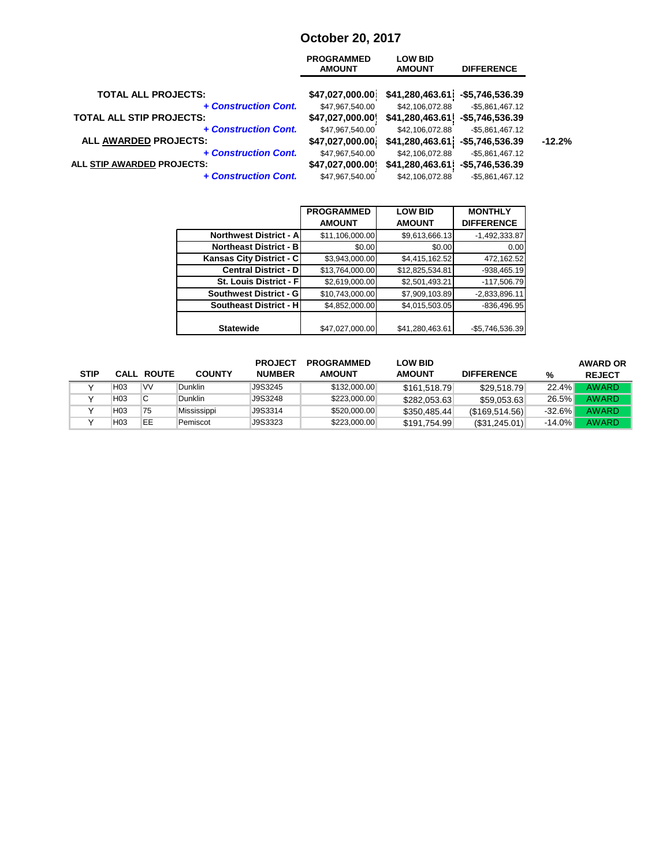## **October 20, 2017**

| <b>PROGRAMMED</b><br><b>AMOUNT</b> | <b>LOW BID</b><br><b>AMOUNT</b> | <b>DIFFERENCE</b>  |                                                                          |
|------------------------------------|---------------------------------|--------------------|--------------------------------------------------------------------------|
| \$47,027,000.00                    |                                 |                    |                                                                          |
| \$47,967,540.00                    | \$42,106,072.88                 | $-$ \$5,861,467.12 |                                                                          |
| \$47,027,000.00                    |                                 | -\$5,746,536.39    |                                                                          |
| \$47,967,540.00                    | \$42,106,072.88                 | $-$ \$5,861,467.12 |                                                                          |
| \$47,027,000.00                    |                                 | $-$5,746,536.39$   | $-12.2%$                                                                 |
| \$47,967,540.00                    | \$42,106,072.88                 | $-$5,861,467.12$   |                                                                          |
| \$47,027,000.00                    | \$41,280,463.61]                | -\$5,746,536.39    |                                                                          |
| \$47,967,540.00                    | \$42,106,072.88                 | $-$5,861,467.12$   |                                                                          |
|                                    |                                 |                    | \$41,280,463.61<br>-\$5,746,536.39<br>\$41,280,463.61<br>\$41,280,463.61 |

|                               | <b>PROGRAMMED</b> | <b>LOW BID</b>  | <b>MONTHLY</b>    |
|-------------------------------|-------------------|-----------------|-------------------|
|                               | <b>AMOUNT</b>     | <b>AMOUNT</b>   | <b>DIFFERENCE</b> |
| <b>Northwest District - A</b> | \$11,106,000.00   | \$9,613,666.13  | $-1,492,333.87$   |
| <b>Northeast District - B</b> | \$0.00            | \$0.00          | 0.00              |
| Kansas City District - C      | \$3,943,000.00    | \$4,415,162.52  | 472,162.52        |
| <b>Central District - D</b>   | \$13,764,000.00   | \$12,825,534.81 | -938,465.19       |
| St. Louis District - Fl       | \$2,619,000.00    | \$2,501,493.21  | $-117,506.79$     |
| Southwest District - G        | \$10,743,000.00   | \$7,909,103.89  | $-2,833,896.11$   |
| <b>Southeast District - H</b> | \$4,852,000.00    | \$4,015,503.05  | $-836,496.95$     |
|                               |                   |                 |                   |
| <b>Statewide</b>              | \$47,027,000.00   | \$41,280,463.61 | -\$5,746,536.39   |

|             |                 |                   |               | <b>PROJECT</b> | <b>PROGRAMMED</b> | <b>LOW BID</b> |                   |          | <b>AWARD OR</b> |
|-------------|-----------------|-------------------|---------------|----------------|-------------------|----------------|-------------------|----------|-----------------|
| <b>STIP</b> |                 | <b>CALL ROUTE</b> | <b>COUNTY</b> | <b>NUMBER</b>  | <b>AMOUNT</b>     | <b>AMOUNT</b>  | <b>DIFFERENCE</b> | %        | <b>REJECT</b>   |
|             | H <sub>03</sub> | VV                | Dunklin       | J9S3245        | \$132,000.00      | \$161,518.79   | \$29,518.79       | 22.4%    | <b>AWARD</b>    |
|             | H03             | С                 | Dunklin       | J9S3248        | \$223,000.00      | \$282,053.63   | \$59,053.63       | 26.5%    | <b>AWARD</b>    |
|             | H03             | 75                | Mississippi   | J9S3314        | \$520,000.00      | \$350,485.44   | (S169, 514.56)    | $-32.6%$ | <b>AWARD</b>    |
|             | H <sub>03</sub> | EE                | Pemiscot      | J9S3323        | \$223,000.00      | \$191,754.99   | (S31, 245.01)     | $-14.0%$ | AWARD           |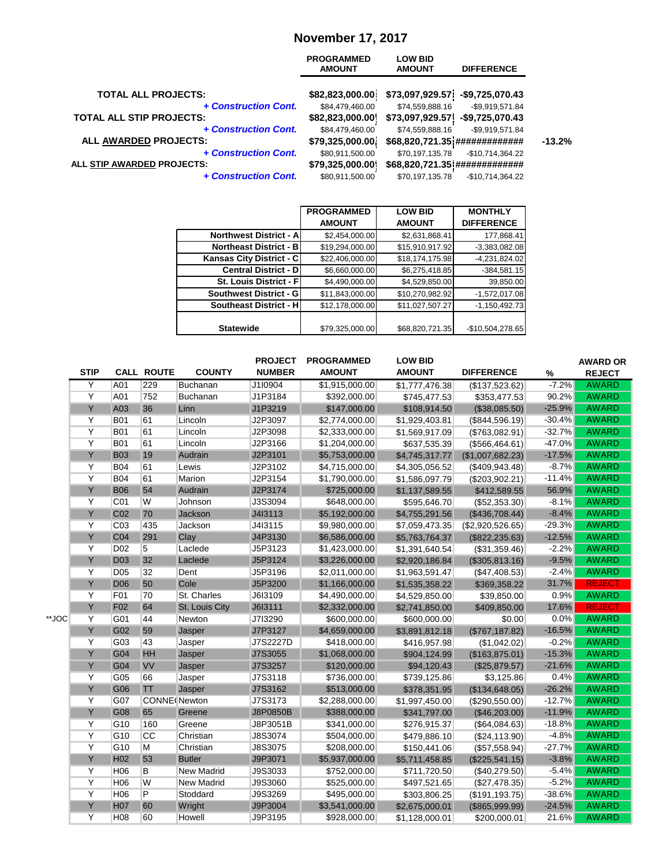# **November 17, 2017**

|                                 | <b>PROGRAMMED</b><br><b>AMOUNT</b> | <b>LOW BID</b><br><b>AMOUNT</b> | <b>DIFFERENCE</b>              |          |
|---------------------------------|------------------------------------|---------------------------------|--------------------------------|----------|
| <b>TOTAL ALL PROJECTS:</b>      | \$82,823,000.00]                   | \$73,097,929.57                 | -\$9,725,070.43                |          |
| + Construction Cont.            | \$84,479,460.00                    | \$74,559,888.16                 | -\$9,919,571.84                |          |
| <b>TOTAL ALL STIP PROJECTS:</b> | \$82,823,000.00                    | \$73,097,929.57                 | -\$9,725,070.43                |          |
| + Construction Cont.            | \$84,479,460.00                    | \$74,559,888.16                 | $-$9,919,571.84$               |          |
| ALL AWARDED PROJECTS:           | \$79,325,000.00                    |                                 | \$68,820,721.35 ############## | $-13.2%$ |
| + Construction Cont.            | \$80,911,500.00                    | \$70,197,135.78                 | $-$10,714,364.22$              |          |
| ALL STIP AWARDED PROJECTS:      | \$79,325,000.00                    |                                 | \$68,820,721.35 ############## |          |
| + Construction Cont.            | \$80,911,500.00                    | \$70,197,135.78                 | $-$10,714,364.22$              |          |
|                                 |                                    |                                 |                                |          |

|                               | <b>PROGRAMMED</b> | <b>LOW BID</b>  | <b>MONTHLY</b>    |
|-------------------------------|-------------------|-----------------|-------------------|
|                               | <b>AMOUNT</b>     | <b>AMOUNT</b>   | <b>DIFFERENCE</b> |
| <b>Northwest District - A</b> | \$2,454,000.00    | \$2,631,868.41  | 177,868.41        |
| <b>Northeast District - B</b> | \$19,294,000.00   | \$15,910,917.92 | $-3,383,082.08$   |
| Kansas City District - C      | \$22,406,000.00   | \$18,174,175.98 | $-4,231,824.02$   |
| <b>Central District - D</b>   | \$6,660,000.00    | \$6,275,418.85  | $-384,581.15$     |
| St. Louis District - F        | \$4,490,000.00    | \$4,529,850.00  | 39,850.00         |
| <b>Southwest District - G</b> | \$11,843,000.00   | \$10,270,982.92 | $-1,572,017.08$   |
| Southeast District - H        | \$12,178,000.00   | \$11,027,507.27 | $-1,150,492.73$   |
|                               |                   |                 |                   |
| <b>Statewide</b>              | \$79,325,000.00   | \$68,820,721.35 | -\$10,504,278.65  |

|       | <b>STIP</b>    |                 | <b>CALL ROUTE</b>   | <b>COUNTY</b>     | <b>PROJECT</b><br><b>NUMBER</b> | <b>PROGRAMMED</b><br><b>AMOUNT</b> | <b>LOW BID</b><br><b>AMOUNT</b> | <b>DIFFERENCE</b>     | $\%$     | <b>AWARD OR</b><br><b>REJECT</b> |
|-------|----------------|-----------------|---------------------|-------------------|---------------------------------|------------------------------------|---------------------------------|-----------------------|----------|----------------------------------|
|       | Y              | A01             | 229                 | <b>Buchanan</b>   | J1I0904                         | \$1,915,000.00                     | \$1,777,476.38                  | (\$137,523.62)        | $-7.2%$  | <b>AWARD</b>                     |
|       | Y              | A01             | 752                 | <b>Buchanan</b>   | J1P3184                         | \$392,000.00                       | \$745,477.53                    | \$353,477.53          | 90.2%    | <b>AWARD</b>                     |
|       | Ÿ              | A03             | 36                  | Linn              | J1P3219                         | \$147,000.00                       | \$108,914.50                    | (\$38,085.50)         | $-25.9%$ | <b>AWARD</b>                     |
|       | Y              | <b>B01</b>      | 61                  | Lincoln           | J2P3097                         | \$2,774,000.00                     | \$1,929,403.81                  | (\$844,596.19)        | $-30.4%$ | <b>AWARD</b>                     |
|       | $\overline{Y}$ | <b>B01</b>      | 61                  | Lincoln           | J2P3098                         | \$2,333,000.00                     | \$1,569,917.09                  | (\$763,082.91)        | $-32.7%$ | <b>AWARD</b>                     |
|       | Y              | <b>B01</b>      | 61                  | Lincoln           | J2P3166                         | \$1,204,000.00                     | \$637,535.39                    | $($ \$566,464.61) $ $ | $-47.0%$ | <b>AWARD</b>                     |
|       | Y              | <b>B03</b>      | 19                  | Audrain           | J2P3101                         | \$5,753,000.00                     | \$4,745,317.77                  | (\$1,007,682.23)      | $-17.5%$ | <b>AWARD</b>                     |
|       | Y              | <b>B04</b>      | 61                  | Lewis             | J2P3102                         | \$4,715,000.00                     | \$4,305,056.52                  | $($ \$409,943.48) $ $ | $-8.7%$  | <b>AWARD</b>                     |
|       | Y              | <b>B04</b>      | 61                  | Marion            | J2P3154                         | \$1,790,000.00                     | \$1,586,097.79                  | (\$203,902.21)        | $-11.4%$ | <b>AWARD</b>                     |
|       | Y              | <b>B06</b>      | 54                  | Audrain           | J2P3174                         | \$725,000.00                       | \$1,137,589.55                  | \$412,589.55          | 56.9%    | <b>AWARD</b>                     |
|       | Y              | C01             | W                   | Johnson           | J3S3094                         | \$648,000.00                       | \$595,646.70                    | (\$52,353.30)         | $-8.1%$  | <b>AWARD</b>                     |
|       | Y              | C <sub>02</sub> | 70                  | <b>Jackson</b>    | J413113                         | \$5,192,000.00                     | \$4,755,291.56                  | (\$436,708.44)        | $-8.4%$  | <b>AWARD</b>                     |
|       | Y              | C <sub>03</sub> | 435                 | Jackson           | J413115                         | \$9,980,000.00                     | \$7,059,473.35                  | (\$2,920,526.65)      | $-29.3%$ | <b>AWARD</b>                     |
|       | Y              | C04             | 291                 | Clay              | J4P3130                         | \$6,586,000.00                     | \$5,763,764.37                  | (\$822, 235.63)       | $-12.5%$ | <b>AWARD</b>                     |
|       | Y              | <b>D02</b>      | 5                   | Laclede           | J5P3123                         | \$1,423,000.00                     | \$1,391,640.54                  | (\$31,359.46)         | $-2.2%$  | <b>AWARD</b>                     |
|       | Y              | <b>D03</b>      | 32                  | Laclede           | J5P3124                         | \$3,226,000.00                     | \$2,920,186.84                  | (\$305,813.16)        | $-9.5%$  | <b>AWARD</b>                     |
|       | Y              | <b>D05</b>      | 32                  | Dent              | J5P3196                         | \$2,011,000.00                     | \$1,963,591.47                  | (\$47,408.53)         | $-2.4%$  | <b>AWARD</b>                     |
|       | Y              | <b>D06</b>      | 50                  | Cole              | J5P3200                         | \$1,166,000.00                     | \$1,535,358.22                  | \$369,358.22          | 31.7%    | <b>REJECT</b>                    |
|       | Y              | F01             | 70                  | St. Charles       | J6I3109                         | \$4,490,000.00                     | \$4,529,850.00                  | \$39,850.00           | 0.9%     | <b>AWARD</b>                     |
|       | Y              | F <sub>02</sub> | 64                  | St. Louis City    | J6I3111                         | \$2,332,000.00                     | \$2,741,850.00                  | \$409,850.00          | 17.6%    | <b>REJECT</b>                    |
| **JOC | Y              | G01             | 44                  | Newton            | J7I3290                         | \$600,000.00                       | \$600,000.00                    | \$0.00                | 0.0%     | <b>AWARD</b>                     |
|       | Y              | G02             | 59                  | Jasper            | J7P3127                         | \$4,659,000.00                     | \$3,891,812.18                  | (\$767, 187.82)       | $-16.5%$ | <b>AWARD</b>                     |
|       | Y              | G03             | 43                  | Jasper            | J7S2227D                        | \$418,000.00                       | \$416,957.98                    | (\$1,042.02)          | $-0.2%$  | <b>AWARD</b>                     |
|       | Y              | G04             | <b>HH</b>           | Jasper            | J7S3055                         | \$1,068,000.00                     | \$904,124.99                    | (\$163,875.01)        | $-15.3%$ | <b>AWARD</b>                     |
|       | Y              | G04             | <b>VV</b>           | Jasper            | J7S3257                         | \$120,000.00                       | \$94,120.43                     | (\$25,879.57)         | $-21.6%$ | <b>AWARD</b>                     |
|       | Y              | G05             | 66                  | Jasper            | J7S3118                         | \$736,000.00                       | \$739,125.86                    | \$3,125.86            | 0.4%     | <b>AWARD</b>                     |
|       | Y              | G06             | TΤ                  | Jasper            | J7S3162                         | \$513,000.00                       | \$378,351.95                    | (\$134,648.05)        | $-26.2%$ | <b>AWARD</b>                     |
|       | Y              | G07             | <b>CONNE</b> Newton |                   | J7S3173                         | \$2,288,000.00                     | \$1,997,450.00                  | (\$290,550.00)        | $-12.7%$ | <b>AWARD</b>                     |
|       | Y              | G08             | 65                  | Greene            | J8P0850B                        | \$388,000.00                       | \$341,797.00                    | (\$46,203.00)         | $-11.9%$ | <b>AWARD</b>                     |
|       | Y              | G10             | 160                 | Greene            | J8P3051B                        | \$341,000.00                       | \$276,915.37                    | (S64,084.63)          | $-18.8%$ | <b>AWARD</b>                     |
|       | $\overline{Y}$ | G10             | CC                  | Christian         | J8S3074                         | \$504,000.00                       | \$479,886.10                    | (\$24,113.90)         | $-4.8%$  | <b>AWARD</b>                     |
|       | Y              | G10             | M                   | Christian         | J8S3075                         | \$208,000.00                       | \$150,441.06                    | $($ \$57,558.94) $ $  | $-27.7%$ | <b>AWARD</b>                     |
|       | Y              | H <sub>02</sub> | 53                  | <b>Butler</b>     | J9P3071                         | \$5,937,000.00                     | \$5,711,458.85                  | (\$225,541.15)        | $-3.8%$  | <b>AWARD</b>                     |
|       | Y              | H <sub>06</sub> | B                   | <b>New Madrid</b> | J9S3033                         | \$752,000.00                       | \$711,720.50                    | (\$40,279.50)         | $-5.4%$  | <b>AWARD</b>                     |
|       | Y              | H <sub>06</sub> | W                   | <b>New Madrid</b> | <b>J9S3060</b>                  | \$525,000.00                       | \$497,521.65                    | (\$27,478.35)         | $-5.2%$  | <b>AWARD</b>                     |
|       | Y              | H <sub>06</sub> | P                   | Stoddard          | J9S3269                         | \$495,000.00                       | \$303,806.25                    | $($ \$191,193.75) $ $ | $-38.6%$ | <b>AWARD</b>                     |
|       | Y              | <b>H07</b>      | 60                  | Wright            | J9P3004                         | \$3,541,000.00                     | \$2,675,000.01                  | (\$865,999.99)        | $-24.5%$ | <b>AWARD</b>                     |
|       | Y              | H08             | 60                  | Howell            | J9P3195                         | \$928,000.00                       | \$1,128,000.01                  | \$200,000.01          | 21.6%    | <b>AWARD</b>                     |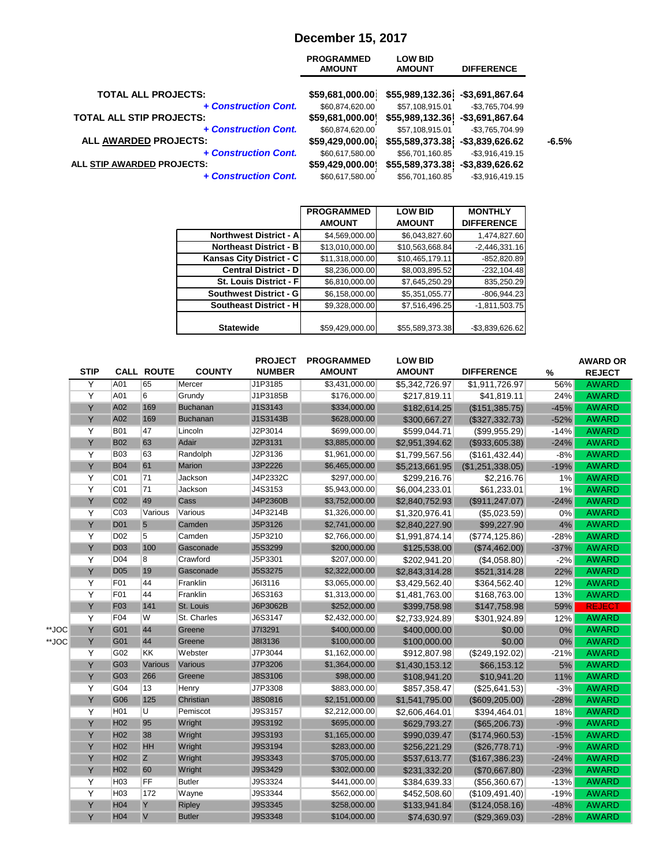## **December 15, 2017**

|                                 | <b>PROGRAMMED</b><br><b>AMOUNT</b> | <b>LOW BID</b><br><b>AMOUNT</b> | <b>DIFFERENCE</b>  |         |
|---------------------------------|------------------------------------|---------------------------------|--------------------|---------|
| <b>TOTAL ALL PROJECTS:</b>      | \$59,681,000.00]                   | \$55,989,132.36                 | -\$3,691,867.64    |         |
| + Construction Cont.            | \$60,874,620.00                    | \$57,108,915.01                 | -\$3,765,704.99    |         |
| <b>TOTAL ALL STIP PROJECTS:</b> | \$59,681,000.00                    | \$55,989,132.36                 | $-$3,691,867.64$   |         |
| + Construction Cont.            | \$60,874,620.00                    | \$57,108,915.01                 | -\$3,765,704.99    |         |
| ALL AWARDED PROJECTS:           | \$59,429,000.00                    | \$55,589,373.38]                | $-$ \$3,839,626.62 | $-6.5%$ |
| + Construction Cont.            | \$60,617,580.00                    | \$56,701,160.85                 | $-$ \$3,916,419.15 |         |
| ALL STIP AWARDED PROJECTS:      | \$59,429,000.00                    | \$55,589,373.38                 | $-$ \$3,839,626.62 |         |
| + Construction Cont.            | \$60,617,580.00                    | \$56,701,160.85                 | $-$ \$3,916,419.15 |         |
|                                 |                                    |                                 |                    |         |

|                               | <b>PROGRAMMED</b> | <b>LOW BID</b>  | <b>MONTHLY</b>    |
|-------------------------------|-------------------|-----------------|-------------------|
|                               | <b>AMOUNT</b>     | <b>AMOUNT</b>   | <b>DIFFERENCE</b> |
| <b>Northwest District - A</b> | \$4,569,000.00    | \$6,043,827.60  | 1,474,827.60      |
| <b>Northeast District - B</b> | \$13,010,000.00   | \$10,563,668.84 | $-2,446,331.16$   |
| Kansas City District - C      | \$11,318,000.00   | \$10,465,179.11 | $-852,820.89$     |
| <b>Central District - D</b>   | \$8,236,000.00    | \$8,003,895.52  | $-232, 104.48$    |
| St. Louis District - F        | \$6,810,000.00    | \$7,645,250.29  | 835,250.29        |
| Southwest District - G        | \$6,158,000.00    | \$5,351,055.77  | $-806,944.23$     |
| <b>Southeast District - H</b> | \$9,328,000.00    | \$7,516,496.25  | $-1,811,503.75$   |
|                               |                   |                 |                   |
| <b>Statewide</b>              | \$59,429,000.00   | \$55,589,373.38 | -\$3,839,626.62   |

|       | <b>STIP</b>    |                 | <b>CALL ROUTE</b> | <b>COUNTY</b>   | <b>PROJECT</b><br><b>NUMBER</b> | <b>PROGRAMMED</b><br><b>AMOUNT</b> | <b>LOW BID</b><br><b>AMOUNT</b> | <b>DIFFERENCE</b> | $\%$   | <b>AWARD OR</b><br><b>REJECT</b> |
|-------|----------------|-----------------|-------------------|-----------------|---------------------------------|------------------------------------|---------------------------------|-------------------|--------|----------------------------------|
|       | Y              | A01             | 65                | Mercer          | J1P3185                         | \$3,431,000.00                     | \$5,342,726.97                  | \$1,911,726.97    | 56%    | <b>AWARD</b>                     |
|       | Y              | A01             | 6                 | Grundy          | J1P3185B                        | \$176,000.00                       | \$217,819.11                    | \$41,819.11       | 24%    | <b>AWARD</b>                     |
|       | Y              | A02             | 169               | <b>Buchanan</b> | J1S3143                         | \$334,000.00                       | \$182,614.25                    | (\$151,385.75)    | $-45%$ | <b>AWARD</b>                     |
|       | Y              | A02             | 169               | <b>Buchanan</b> | J1S3143B                        | \$628,000.00                       | \$300,667.27                    | (\$327,332.73)    | $-52%$ | <b>AWARD</b>                     |
|       | Y              | <b>B01</b>      | 47                | Lincoln         | J2P3014                         | \$699,000.00                       | \$599,044.71                    | (\$99,955.29)     | $-14%$ | <b>AWARD</b>                     |
|       | Y              | <b>B02</b>      | 63                | Adair           | J2P3131                         | \$3,885,000.00                     | \$2,951,394.62                  | (\$933,605.38)    | $-24%$ | <b>AWARD</b>                     |
|       | Y              | <b>B03</b>      | 63                | Randolph        | J2P3136                         | \$1,961,000.00                     | \$1,799,567.56                  | (\$161,432.44)    | $-8%$  | <b>AWARD</b>                     |
|       | Y              | <b>B04</b>      | 61                | <b>Marion</b>   | J3P2226                         | \$6,465,000.00                     | \$5,213,661.95                  | (\$1,251,338.05)  | $-19%$ | <b>AWARD</b>                     |
|       | Y              | C <sub>01</sub> | 71                | Jackson         | J4P2332C                        | \$297,000.00                       | \$299,216.76                    | \$2,216.76        | 1%     | <b>AWARD</b>                     |
|       | Y              | CO <sub>1</sub> | 71                | Jackson         | J4S3153                         | \$5,943,000.00                     | \$6,004,233.01                  | \$61,233.01       | 1%     | <b>AWARD</b>                     |
|       | Y              | C <sub>02</sub> | 49                | Cass            | J4P2360B                        | \$3,752,000.00                     | \$2,840,752.93                  | (\$911, 247.07)   | $-24%$ | <b>AWARD</b>                     |
|       | Y              | CO <sub>3</sub> | Various           | Various         | J4P3214B                        | \$1,326,000.00                     | \$1,320,976.41                  | (\$5,023.59)      | 0%     | <b>AWARD</b>                     |
|       | Y              | <b>D01</b>      | $\overline{5}$    | Camden          | J5P3126                         | \$2,741,000.00                     | \$2,840,227.90                  | \$99,227.90       | 4%     | <b>AWARD</b>                     |
|       | Y              | D <sub>02</sub> | 5                 | Camden          | J5P3210                         | \$2,766,000.00                     | \$1,991,874.14                  | (\$774, 125.86)   | $-28%$ | <b>AWARD</b>                     |
|       | Y              | <b>D03</b>      | 100               | Gasconade       | J5S3299                         | \$200,000.00                       | \$125,538.00                    | (\$74,462.00)     | $-37%$ | <b>AWARD</b>                     |
|       | Y              | <b>D04</b>      | 8                 | Crawford        | J5P3301                         | \$207,000.00                       | \$202,941.20                    | (\$4,058.80)      | $-2%$  | <b>AWARD</b>                     |
|       | Y              | <b>D05</b>      | 19                | Gasconade       | J5S3275                         | \$2,322,000.00                     | \$2,843,314.28                  | \$521,314.28      | 22%    | <b>AWARD</b>                     |
|       | Y              | F <sub>01</sub> | 44                | Franklin        | J6I3116                         | \$3,065,000.00                     | \$3,429,562.40                  | \$364,562.40      | 12%    | <b>AWARD</b>                     |
|       | $\overline{Y}$ | F <sub>01</sub> | 44                | Franklin        | J6S3163                         | \$1,313,000.00                     | \$1,481,763.00                  | \$168,763.00      | 13%    | <b>AWARD</b>                     |
|       | Y              | F <sub>03</sub> | 141               | St. Louis       | J6P3062B                        | \$252,000.00                       | \$399,758.98                    | \$147,758.98      | 59%    | <b>REJECT</b>                    |
|       | $\overline{Y}$ | F04             | W                 | St. Charles     | J6S3147                         | \$2,432,000.00                     | \$2,733,924.89                  | \$301,924.89      | 12%    | <b>AWARD</b>                     |
| **JOC | Y              | G01             | 44                | Greene          | J713291                         | \$400,000.00                       | \$400,000.00                    | \$0.00            | 0%     | <b>AWARD</b>                     |
| **JOC | Y              | G01             | 44                | Greene          | J8I3136                         | \$100,000.00                       | \$100,000.00                    | \$0.00            | 0%     | <b>AWARD</b>                     |
|       | Y              | G02             | KK                | Webster         | J7P3044                         | \$1,162,000.00                     | \$912,807.98                    | (\$249,192.02)    | $-21%$ | <b>AWARD</b>                     |
|       | Y              | G03             | Various           | Various         | J7P3206                         | \$1,364,000.00                     | \$1,430,153.12                  | \$66,153.12       | 5%     | <b>AWARD</b>                     |
|       | Y              | G03             | 266               | Greene          | J8S3106                         | \$98,000.00                        | \$108,941.20                    | \$10,941.20       | 11%    | <b>AWARD</b>                     |
|       | Y              | G04             | 13                | Henry           | J7P3308                         | \$883,000.00                       | \$857,358.47                    | (\$25,641.53)     | $-3%$  | <b>AWARD</b>                     |
|       | Ÿ              | G06             | 125               | Christian       | J8S0816                         | \$2,151,000.00                     | \$1,541,795.00                  | (\$609, 205.00)   | $-28%$ | <b>AWARD</b>                     |
|       | Y              | H <sub>01</sub> | U                 | Pemiscot        | J9S3157                         | \$2,212,000.00                     | \$2,606,464.01                  | \$394,464.01      | 18%    | <b>AWARD</b>                     |
|       | Y              | H <sub>02</sub> | 95                | Wright          | J9S3192                         | \$695,000.00                       | \$629,793.27                    | (\$65,206.73)     | $-9%$  | <b>AWARD</b>                     |
|       | Y              | H <sub>02</sub> | 38                | Wright          | J9S3193                         | \$1,165,000.00                     | \$990,039.47                    | (\$174,960.53)    | $-15%$ | <b>AWARD</b>                     |
|       | Y              | H <sub>02</sub> | HH                | Wright          | J9S3194                         | \$283,000.00                       | \$256,221.29                    | (\$26,778.71)     | $-9%$  | <b>AWARD</b>                     |
|       | Y              | H <sub>02</sub> | Z                 | Wright          | J9S3343                         | \$705,000.00                       | \$537,613.77                    | (\$167,386.23)    | $-24%$ | <b>AWARD</b>                     |
|       | Y              | H <sub>02</sub> | 60                | Wright          | J9S3429                         | \$302,000.00                       | \$231,332.20                    | (\$70,667.80)     | $-23%$ | <b>AWARD</b>                     |
|       | Y              | H <sub>03</sub> | FF                | <b>Butler</b>   | J9S3324                         | \$441,000.00                       | \$384,639.33                    | (\$56,360.67)     | $-13%$ | <b>AWARD</b>                     |
|       | Y              | H <sub>03</sub> | 172               | Wayne           | J9S3344                         | \$562,000.00                       | \$452,508.60                    | (\$109,491.40)    | $-19%$ | <b>AWARD</b>                     |
|       | Y              | H <sub>04</sub> | Y                 | <b>Ripley</b>   | J9S3345                         | \$258,000.00                       | \$133,941.84                    | (\$124,058.16)    | $-48%$ | <b>AWARD</b>                     |
|       | Y              | H <sub>04</sub> | $\vee$            | <b>Butler</b>   | J9S3348                         | \$104,000.00                       | \$74,630.97                     | (\$29,369.03)     | $-28%$ | <b>AWARD</b>                     |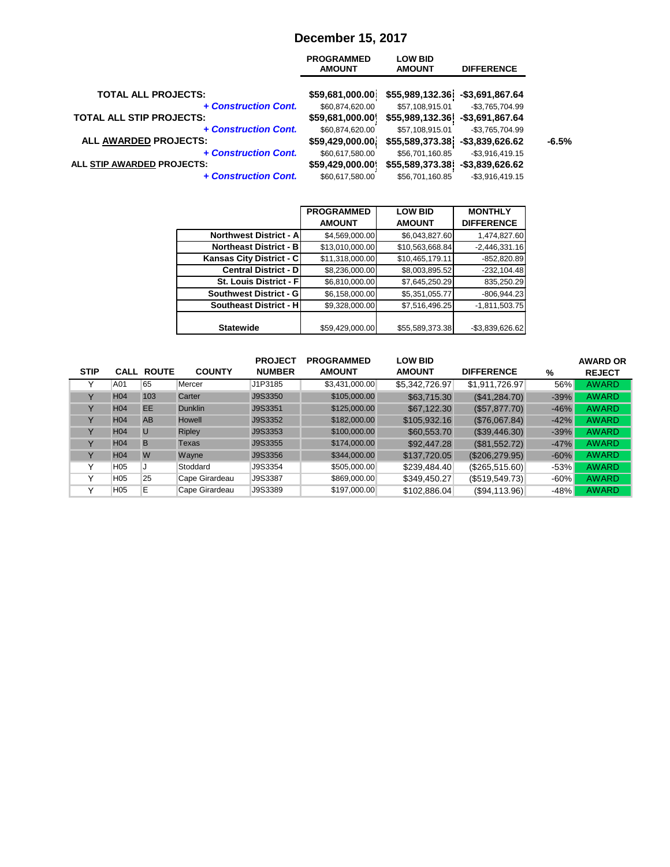## **December 15, 2017**

|                                 | <b>PROGRAMMED</b><br><b>AMOUNT</b> | <b>LOW BID</b><br><b>AMOUNT</b> | <b>DIFFERENCE</b>  |         |
|---------------------------------|------------------------------------|---------------------------------|--------------------|---------|
| <b>TOTAL ALL PROJECTS:</b>      | \$59,681,000.00]                   | \$55,989,132.36                 | -\$3,691,867.64    |         |
| + Construction Cont.            | \$60,874,620.00                    | \$57,108,915.01                 | -\$3,765,704.99    |         |
| <b>TOTAL ALL STIP PROJECTS:</b> | \$59,681,000.00                    | \$55,989,132.36                 | $-$3,691,867.64$   |         |
| + Construction Cont.            | \$60,874,620.00                    | \$57,108,915.01                 | $-$3,765,704.99$   |         |
| <b>ALL AWARDED PROJECTS:</b>    | \$59,429,000.00]                   | \$55,589,373.38]                | $-$ \$3,839,626.62 | $-6.5%$ |
| + Construction Cont.            | \$60,617,580.00                    | \$56,701,160.85                 | $-$ \$3,916,419.15 |         |
| ALL STIP AWARDED PROJECTS:      | \$59,429,000.00                    | \$55,589,373.38                 | $-$ \$3,839,626.62 |         |
| + Construction Cont.            | \$60,617,580.00                    | \$56,701,160.85                 | $-$ \$3,916,419.15 |         |
|                                 |                                    |                                 |                    |         |

|                               | <b>PROGRAMMED</b> | <b>LOW BID</b>  | <b>MONTHLY</b>    |
|-------------------------------|-------------------|-----------------|-------------------|
|                               | <b>AMOUNT</b>     | <b>AMOUNT</b>   | <b>DIFFERENCE</b> |
| <b>Northwest District - A</b> | \$4,569,000.00    | \$6,043,827.60  | 1,474,827.60      |
| <b>Northeast District - B</b> | \$13,010,000.00   | \$10,563,668.84 | $-2,446,331.16$   |
| Kansas City District - C      | \$11,318,000.00   | \$10,465,179.11 | $-852,820.89$     |
| <b>Central District - D</b>   | \$8,236,000.00    | \$8,003,895.52  | $-232, 104.48$    |
| St. Louis District - Fl       | \$6,810,000.00    | \$7,645,250.29  | 835,250.29        |
| Southwest District - G        | \$6,158,000.00    | \$5,351,055.77  | $-806,944.23$     |
| <b>Southeast District - H</b> | \$9,328,000.00    | \$7,516,496.25  | $-1,811,503.75$   |
|                               |                   |                 |                   |
| <b>Statewide</b>              | \$59,429,000.00   | \$55,589,373.38 | -\$3,839,626.62   |

|             |                 |                   |                | <b>PROJECT</b> | <b>PROGRAMMED</b> | <b>LOW BID</b> |                      |        | <b>AWARD OR</b> |
|-------------|-----------------|-------------------|----------------|----------------|-------------------|----------------|----------------------|--------|-----------------|
| <b>STIP</b> |                 | <b>CALL ROUTE</b> | <b>COUNTY</b>  | <b>NUMBER</b>  | <b>AMOUNT</b>     | <b>AMOUNT</b>  | <b>DIFFERENCE</b>    | %      | <b>REJECT</b>   |
|             | A01             | 65                | Mercer         | J1P3185        | \$3,431,000.00    | \$5,342,726.97 | \$1,911,726.97       | 56%    | <b>AWARD</b>    |
| v           | H <sub>04</sub> | 103               | Carter         | J9S3350        | \$105,000.00      | \$63,715.30    | (\$41,284.70)        | $-39%$ | <b>AWARD</b>    |
|             | H <sub>04</sub> | EE.               | <b>Dunklin</b> | J9S3351        | \$125,000.00      | \$67,122.30    | (\$57,877.70)        | $-46%$ | <b>AWARD</b>    |
|             | H <sub>04</sub> | <b>AB</b>         | Howell         | J9S3352        | \$182,000.00      | \$105,932.16   | (\$76,067.84)        | $-42%$ | <b>AWARD</b>    |
|             | H <sub>04</sub> | $\overline{U}$    | <b>Ripley</b>  | J9S3353        | \$100,000.00      | \$60,553.70    | (\$39,446.30)        | $-39%$ | <b>AWARD</b>    |
| v           | H <sub>04</sub> | B                 | Texas          | J9S3355        | \$174,000.00      | \$92,447.28    | (\$81,552.72)        | $-47%$ | <b>AWARD</b>    |
| v           | H <sub>04</sub> | W                 | Wayne          | J9S3356        | \$344,000.00      | \$137,720.05   | (\$206, 279.95)      | $-60%$ | <b>AWARD</b>    |
|             | H <sub>05</sub> | J                 | Stoddard       | J9S3354        | \$505,000.00      | \$239,484.40   | (\$265,515.60)       | $-53%$ | <b>AWARD</b>    |
| v           | H <sub>05</sub> | 25                | Cape Girardeau | J9S3387        | \$869,000.00      | \$349,450.27   | (\$519,549.73)       | $-60%$ | <b>AWARD</b>    |
|             | H <sub>05</sub> | E                 | Cape Girardeau | J9S3389        | \$197,000.00      | \$102,886.04   | $($ \$94,113.96) $ $ | $-48%$ | <b>AWARD</b>    |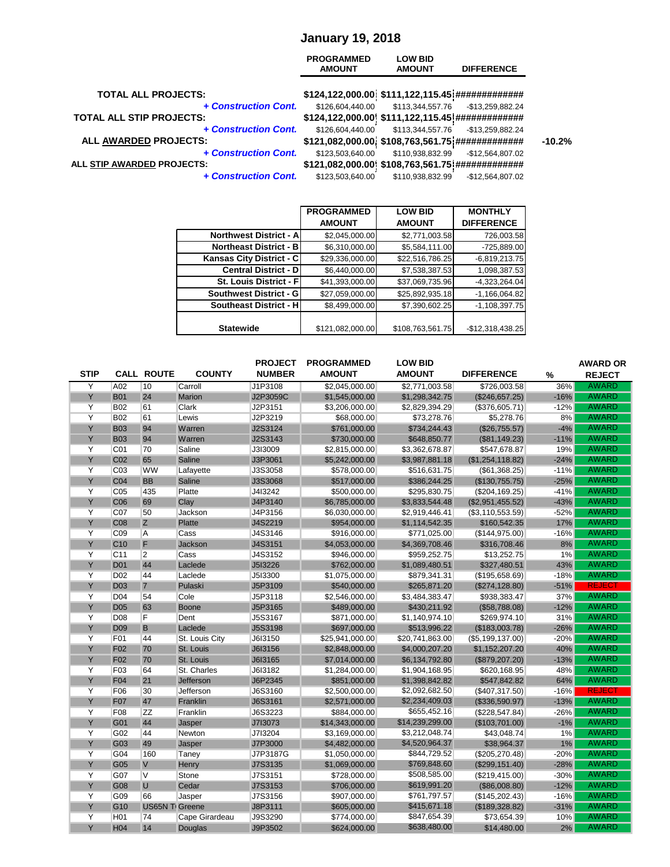#### **January 19, 2018**

|                                 | <b>PROGRAMMED</b><br><b>AMOUNT</b>               | <b>LOW BID</b><br><b>AMOUNT</b> | <b>DIFFERENCE</b> |
|---------------------------------|--------------------------------------------------|---------------------------------|-------------------|
| <b>TOTAL ALL PROJECTS:</b>      |                                                  |                                 |                   |
| + Construction Cont.            | \$126,604,440.00                                 | \$113,344,557.76                | -\$13,259,882.24  |
| <b>TOTAL ALL STIP PROJECTS:</b> | \$124,122,000.00 \$111,122,115.45 ############## |                                 |                   |
| + Construction Cont.            | \$126,604,440.00                                 | \$113,344,557.76                | -\$13,259,882.24  |
| ALL AWARDED PROJECTS:           |                                                  |                                 |                   |
| + Construction Cont.            | \$123,503,640.00                                 | \$110,938,832.99                | -\$12,564,807.02  |
| ALL STIP AWARDED PROJECTS:      | \$121,082,000.00 \$108,763,561.75 ############## |                                 |                   |
| + Construction Cont.            | \$123,503,640.00                                 | \$110,938,832.99                | $-$12,564,807.02$ |
|                                 |                                                  |                                 |                   |

|                               | <b>PROGRAMMED</b> | <b>LOW BID</b>   | <b>MONTHLY</b>    |
|-------------------------------|-------------------|------------------|-------------------|
|                               | <b>AMOUNT</b>     | <b>AMOUNT</b>    | <b>DIFFERENCE</b> |
| <b>Northwest District - A</b> | \$2,045,000.00    | \$2,771,003.58   | 726,003.58        |
| <b>Northeast District - B</b> | \$6,310,000.00    | \$5,584,111.00   | -725,889.00       |
| Kansas City District - C      | \$29,336,000.00   | \$22,516,786.25  | $-6,819,213.75$   |
| <b>Central District - D </b>  | \$6,440,000.00    | \$7,538,387.53   | 1,098,387.53      |
| St. Louis District - F        | \$41,393,000.00   | \$37,069,735.96  | $-4,323,264.04$   |
| <b>Southwest District - G</b> | \$27,059,000.00   | \$25,892,935.18  | $-1,166,064.82$   |
| <b>Southeast District - H</b> | \$8,499,000.00    | \$7,390,602.25   | $-1,108,397.75$   |
|                               |                   |                  |                   |
| <b>Statewide</b>              | \$121,082,000.00  | \$108,763,561.75 | $-$12,318,438.25$ |

|                |                  |                       |                  | <b>PROJECT</b> | <b>PROGRAMMED</b> | <b>LOW BID</b>              |                   |        | <b>AWARD OR</b> |
|----------------|------------------|-----------------------|------------------|----------------|-------------------|-----------------------------|-------------------|--------|-----------------|
| <b>STIP</b>    |                  | <b>CALL ROUTE</b>     | <b>COUNTY</b>    | <b>NUMBER</b>  | <b>AMOUNT</b>     | <b>AMOUNT</b>               | <b>DIFFERENCE</b> | $\%$   | <b>REJECT</b>   |
| Y              | A02              | 10                    | Carroll          | J1P3108        | \$2,045,000.00    | \$2,771,003.58              | \$726,003.58      | 36%    | <b>AWARD</b>    |
| Y              | <b>B01</b>       | 24                    | <b>Marion</b>    | J2P3059C       | \$1,545,000.00    | \$1,298,342.75              | (\$246,657.25)    | $-16%$ | <b>AWARD</b>    |
| Υ              | <b>B02</b>       | 61                    | <b>Clark</b>     | J2P3151        | \$3,206,000.00    | \$2,829,394.29              | (\$376,605.71)    | $-12%$ | <b>AWARD</b>    |
| $\overline{Y}$ | <b>B02</b>       | 61                    | Lewis            | J2P3219        | \$68,000.00       | \$73,278.76                 | \$5,278.76        | 8%     | <b>AWARD</b>    |
| Y              | <b>B03</b>       | 94                    | Warren           | J2S3124        | \$761,000.00      | \$734,244.43                | (\$26,755.57)     | $-4%$  | <b>AWARD</b>    |
| Y              | <b>B03</b>       | 94                    | Warren           | J2S3143        | \$730,000.00      | \$648,850.77                | (\$81,149.23)     | $-11%$ | <b>AWARD</b>    |
| Υ              | C <sub>01</sub>  | 70                    | Saline           | J3I3009        | \$2,815,000.00    | \$3,362,678.87              | \$547,678.87      | 19%    | <b>AWARD</b>    |
| Y              | C <sub>02</sub>  | 65                    | Saline           | J3P3061        | \$5,242,000.00    | \$3,987,881.18              | (\$1,254,118.82)  | $-24%$ | <b>AWARD</b>    |
| Υ              | C <sub>03</sub>  | <b>WW</b>             | Lafayette        | J3S3058        | \$578,000.00      | \$516,631.75                | (\$61,368.25)     | $-11%$ | <b>AWARD</b>    |
| Y              | C <sub>04</sub>  | <b>BB</b>             | Saline           | J3S3068        | \$517,000.00      | \$386,244.25                | (\$130,755.75)    | $-25%$ | <b>AWARD</b>    |
| Y              | C <sub>05</sub>  | 435                   | Platte           | J4I3242        | \$500,000.00      | \$295,830.75                | (\$204, 169.25)   | $-41%$ | <b>AWARD</b>    |
| Y              | C <sub>06</sub>  | 69                    | Clay             | J4P3140        | \$6,785,000.00    | \$3,833,544.48              | (\$2,951,455.52)  | $-43%$ | <b>AWARD</b>    |
| $\overline{Y}$ | C07              | 50                    | Jackson          | J4P3156        | \$6,030,000.00    | \$2,919,446.41              | (\$3,110,553.59)  | $-52%$ | <b>AWARD</b>    |
| Y              | C <sub>08</sub>  | $\mathsf{Z}$          | <b>Platte</b>    | J4S2219        | \$954,000.00      | \$1,114,542.35              | \$160,542.35      | 17%    | <b>AWARD</b>    |
| Υ              | C <sub>09</sub>  | A                     | Cass             | J4S3146        | \$916,000.00      | \$771,025.00                | (\$144,975.00)    | $-16%$ | <b>AWARD</b>    |
| Y              | C <sub>10</sub>  | F                     | Jackson          | J4S3151        | \$4,053,000.00    | \$4,369,708.46              | \$316,708.46      | 8%     | <b>AWARD</b>    |
| Y              | C <sub>11</sub>  | $\overline{2}$        | Cass             | J4S3152        | \$946,000.00      | \$959,252.75                | \$13,252.75       | 1%     | <b>AWARD</b>    |
| Y              | <b>D01</b>       | 44                    | Laclede          | J5I3226        | \$762,000.00      | \$1,089,480.51              | \$327,480.51      | 43%    | <b>AWARD</b>    |
| Y              | D <sub>02</sub>  | 44                    | Laclede          | J5I3300        | \$1,075,000.00    | \$879,341.31                | (\$195,658.69)    | $-18%$ | <b>AWARD</b>    |
| Y              | <b>D03</b>       | $\overline{7}$        | Pulaski          | J5P3109        | \$540,000.00      | \$265,871.20                | (\$274,128.80)    | $-51%$ | <b>REJECT</b>   |
| Υ              | D <sub>04</sub>  | 54                    | Cole             | J5P3118        | \$2,546,000.00    | \$3,484,383.47              | \$938,383.47      | 37%    | <b>AWARD</b>    |
| Y              | <b>D05</b>       | 63                    | <b>Boone</b>     | J5P3165        | \$489,000.00      | \$430,211.92                | (\$58,788.08)     | $-12%$ | <b>AWARD</b>    |
| Υ              | D08              | F                     | Dent             | J5S3167        | \$871,000.00      | \$1,140,974.10              | \$269,974.10      | 31%    | <b>AWARD</b>    |
| Y              | <b>D09</b>       | B                     | Laclede          | <b>J5S3198</b> | \$697,000.00      | \$513,996.22                | (\$183,003.78)    | $-26%$ | <b>AWARD</b>    |
| Υ              | F01              | 44                    | St. Louis City   | J6I3150        | \$25,941,000.00   | \$20,741,863.00             | (\$5,199,137.00)  | $-20%$ | <b>AWARD</b>    |
| Y              | F <sub>02</sub>  | 70                    | St. Louis        | J6I3156        | \$2,848,000.00    | \$4,000,207.20              | \$1,152,207.20    | 40%    | <b>AWARD</b>    |
| Y              | <b>F02</b>       | 70                    | St. Louis        | J6I3165        | \$7,014,000.00    | \$6,134,792.80              | (\$879,207.20)    | $-13%$ | <b>AWARD</b>    |
| Y              | F03              | 64                    | St. Charles      | J6I3182        | \$1,284,000.00    | $\overline{\$1,904,}168.95$ | \$620,168.95      | 48%    | <b>AWARD</b>    |
| Y              | F <sub>04</sub>  | 21                    | <b>Jefferson</b> | J6P2345        | \$851,000.00      | \$1,398,842.82              | \$547,842.82      | 64%    | <b>AWARD</b>    |
| Υ              | F06              | 30                    | Jefferson        | J6S3160        | \$2,500,000.00    | \$2,092,682.50              | (\$407,317.50)    | $-16%$ | <b>REJECT</b>   |
| Y              | <b>F07</b>       | 47                    | Franklin         | J6S3161        | \$2,571,000.00    | \$2,234,409.03              | (\$336,590.97)    | $-13%$ | <b>AWARD</b>    |
| Y              | F08              | <b>ZZ</b>             | Franklin         | J6S3223        | \$884,000.00      | \$655,452.16                | (\$228,547.84)    | $-26%$ | <b>AWARD</b>    |
| Y              | G01              | 44                    | Jasper           | J7I3073        | \$14,343,000.00   | \$14,239,299.00             | (\$103,701.00)    | $-1%$  | <b>AWARD</b>    |
| Y              | G02              | 44                    | Newton           | J7I3204        | \$3,169,000.00    | \$3,212,048.74              | \$43,048.74       | 1%     | <b>AWARD</b>    |
| Y              | G03              | 49                    | Jasper           | J7P3000        | \$4,482,000.00    | \$4,520,964.37              | \$38,964.37       | $1\%$  | <b>AWARD</b>    |
| Y              | G04              | 160                   | Taney            | J7P3187G       | \$1,050,000.00    | \$844,729.52                | (\$205,270.48)    | $-20%$ | <b>AWARD</b>    |
| Y              | G05              | $\vee$                | Henry            | J7S3135        | \$1,069,000.00    | \$769,848.60                | (\$299, 151.40)   | $-28%$ | <b>AWARD</b>    |
| Y              | G07              | V                     | Stone            | J7S3151        | \$728,000.00      | \$508,585.00                | (\$219,415.00)    | $-30%$ | <b>AWARD</b>    |
| Y              | G08              | $\cup$                | Cedar            | J7S3153        | \$706,000.00      | \$619,991.20                | (\$86,008.80)     | $-12%$ | <b>AWARD</b>    |
| Y              | G09              | 66                    | Jasper           | J7S3156        | \$907,000.00      | \$761,797.57                | (\$145,202.43)    | $-16%$ | <b>AWARD</b>    |
| Y              | G <sub>10</sub>  | <b>US65N T</b> Greene |                  | J8P3111        | \$605,000.00      | \$415,671.18                | (\$189,328.82)    | $-31%$ | <b>AWARD</b>    |
| Υ              | H <sub>0</sub> 1 | 74                    | Cape Girardeau   | J9S3290        | \$774,000.00      | \$847,654.39                | \$73,654.39       | 10%    | <b>AWARD</b>    |
| Y              | H <sub>04</sub>  | 14                    | Douglas          | J9P3502        | \$624,000.00      | \$638,480.00                | \$14,480.00       | 2%     | <b>AWARD</b>    |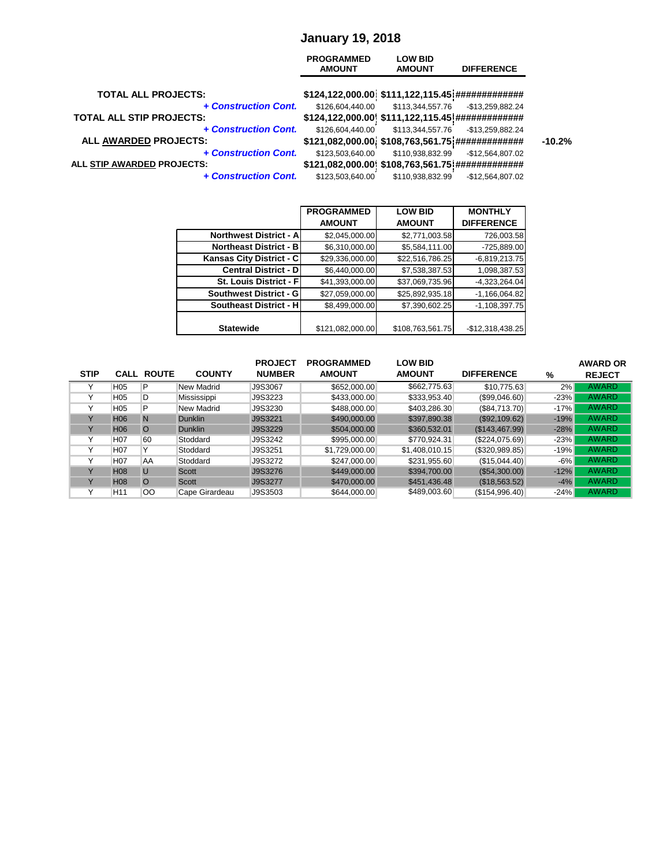#### **January 19, 2018**

| <b>TOTAL ALL PROJECTS:</b><br>+ Construction Cont.<br>\$113,344,557.76<br>\$126,604,440.00<br>-\$13,259,882.24<br>\$124,122,000.00 \$111,122,115.45 ##############<br>+ Construction Cont.<br>\$126,604,440.00<br>\$113,344,557.76<br>-\$13,259,882.24<br>ALL AWARDED PROJECTS:<br>\$121,082,000.00 \$108,763,561.75 ##############<br>+ Construction Cont.<br>\$123,503,640.00<br>\$110,938,832.99<br>$-$12,564,807.02$<br>\$121,082,000.00 \$108,763,561.75 ############## |                      | <b>PROGRAMMED</b><br><b>AMOUNT</b> | <b>LOW BID</b><br><b>AMOUNT</b> | <b>DIFFERENCE</b> |
|------------------------------------------------------------------------------------------------------------------------------------------------------------------------------------------------------------------------------------------------------------------------------------------------------------------------------------------------------------------------------------------------------------------------------------------------------------------------------|----------------------|------------------------------------|---------------------------------|-------------------|
| <b>TOTAL ALL STIP PROJECTS:</b>                                                                                                                                                                                                                                                                                                                                                                                                                                              |                      |                                    |                                 |                   |
|                                                                                                                                                                                                                                                                                                                                                                                                                                                                              |                      |                                    |                                 |                   |
| ALL STIP AWARDED PROJECTS:                                                                                                                                                                                                                                                                                                                                                                                                                                                   |                      |                                    |                                 |                   |
|                                                                                                                                                                                                                                                                                                                                                                                                                                                                              |                      |                                    |                                 |                   |
|                                                                                                                                                                                                                                                                                                                                                                                                                                                                              | + Construction Cont. | \$123,503,640.00                   | \$110,938,832.99                | -\$12,564,807.02  |

|                               | <b>PROGRAMMED</b> | <b>LOW BID</b>   | <b>MONTHLY</b>    |
|-------------------------------|-------------------|------------------|-------------------|
|                               | <b>AMOUNT</b>     | <b>AMOUNT</b>    | <b>DIFFERENCE</b> |
| <b>Northwest District - A</b> | \$2,045,000.00    | \$2,771,003.58   | 726,003.58        |
| <b>Northeast District - B</b> | \$6,310,000.00    | \$5,584,111.00   | $-725,889.00$     |
| Kansas City District - C      | \$29,336,000.00   | \$22,516,786.25  | $-6,819,213.75$   |
| <b>Central District - D</b>   | \$6,440,000.00    | \$7,538,387.53   | 1,098,387.53      |
| St. Louis District - F        | \$41,393,000.00   | \$37,069,735.96  | $-4,323,264.04$   |
| <b>Southwest District - G</b> | \$27,059,000.00   | \$25,892,935.18  | $-1,166,064.82$   |
| <b>Southeast District - H</b> | \$8,499,000.00    | \$7,390,602.25   | $-1,108,397.75$   |
|                               |                   |                  |                   |
| <b>Statewide</b>              | \$121,082,000.00  | \$108,763,561.75 | $-$12,318,438.25$ |

|             |                  |                   |                | <b>PROJECT</b> | <b>PROGRAMMED</b> | <b>LOW BID</b> |                   |        | <b>AWARD OR</b> |
|-------------|------------------|-------------------|----------------|----------------|-------------------|----------------|-------------------|--------|-----------------|
| <b>STIP</b> |                  | <b>CALL ROUTE</b> | <b>COUNTY</b>  | <b>NUMBER</b>  | <b>AMOUNT</b>     | <b>AMOUNT</b>  | <b>DIFFERENCE</b> | %      | <b>REJECT</b>   |
|             | H <sub>05</sub>  | P                 | New Madrid     | J9S3067        | \$652,000.00      | \$662,775.63   | \$10,775.63       | 2%     | <b>AWARD</b>    |
|             | H <sub>05</sub>  | D                 | Mississippi    | J9S3223        | \$433,000.00      | \$333,953.40   | $(\$99,046.60)$   | $-23%$ | AWARD           |
|             | H <sub>05</sub>  | P                 | New Madrid     | J9S3230        | \$488,000.00      | \$403,286.30   | (\$84,713.70)     | $-17%$ | <b>AWARD</b>    |
|             | H <sub>06</sub>  | $\mathbb N$       | <b>Dunklin</b> | J9S3221        | \$490,000.00      | \$397,890.38   | (\$92,109.62)     | $-19%$ | AWARD           |
|             | H <sub>06</sub>  | $\circ$           | <b>Dunklin</b> | J9S3229        | \$504,000.00      | \$360,532.01   | (\$143,467.99)    | $-28%$ | AWARD           |
|             | H <sub>0</sub> 7 | 60                | Stoddard       | J9S3242        | \$995,000.00      | \$770,924.31   | (\$224,075.69)    | $-23%$ | <b>AWARD</b>    |
|             | H <sub>07</sub>  | Y                 | Stoddard       | J9S3251        | \$1,729,000.00    | \$1,408,010.15 | (\$320,989.85)    | $-19%$ | <b>AWARD</b>    |
|             | H <sub>07</sub>  | AΑ                | Stoddard       | J9S3272        | \$247,000.00      | \$231,955.60   | (\$15,044.40)     | $-6%$  | <b>AWARD</b>    |
|             | <b>H08</b>       | U                 | Scott          | J9S3276        | \$449,000.00      | \$394,700.00   | (\$54,300.00)     | $-12%$ | AWARD           |
|             | <b>H08</b>       | $\circ$           | Scott          | J9S3277        | \$470,000.00      | \$451,436.48   | (\$18,563.52)     | $-4%$  | AWARD           |
|             | H <sub>11</sub>  | 00                | Cape Girardeau | J9S3503        | \$644,000.00      | \$489,003.60   | (\$154,996.40)    | $-24%$ | <b>AWARD</b>    |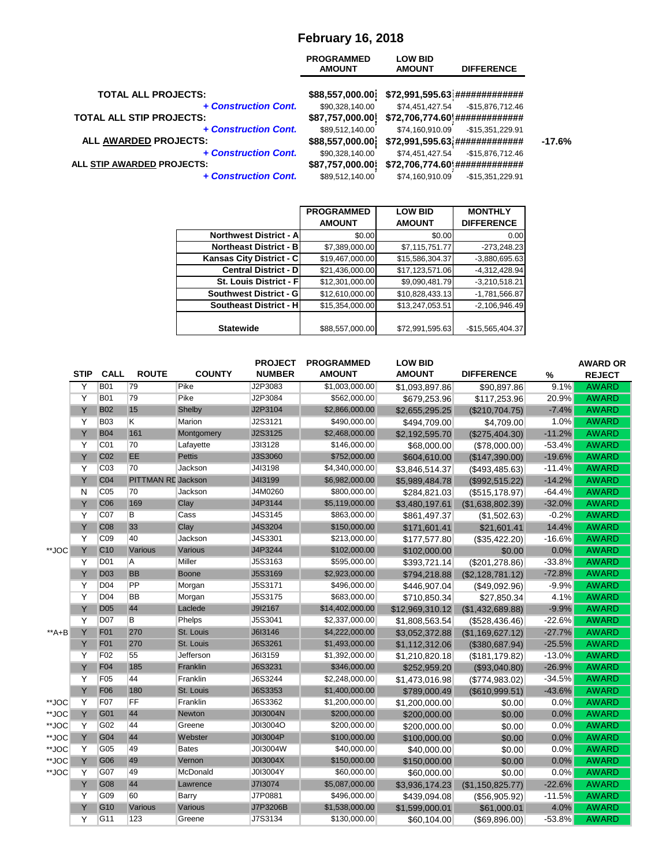# **February 16, 2018**

|                                                         | <b>PROGRAMMED</b><br><b>AMOUNT</b> | <b>LOW BID</b><br><b>AMOUNT</b> | <b>DIFFERENCE</b>                                   |          |
|---------------------------------------------------------|------------------------------------|---------------------------------|-----------------------------------------------------|----------|
| <b>TOTAL ALL PROJECTS:</b>                              | \$88,557,000.00]                   |                                 | \$72,991,595.63 ##############                      |          |
| + Construction Cont.<br><b>TOTAL ALL STIP PROJECTS:</b> | \$90,328,140.00<br>\$87,757,000.00 | \$74,451,427.54                 | $-$15,876,712.46$<br>\$72,706,774.60 ############## |          |
| + Construction Cont.                                    | \$89,512,140.00                    | \$74,160,910.09                 | -\$15,351,229.91                                    |          |
| ALL AWARDED PROJECTS:                                   | \$88,557,000.00                    |                                 | \$72,991,595.63 ##############                      | $-17.6%$ |
| + Construction Cont.                                    | \$90,328,140.00                    | \$74,451,427.54                 | $-$15,876,712.46$                                   |          |
| ALL STIP AWARDED PROJECTS:                              | \$87,757,000.00                    |                                 | \$72,706,774.60 ##############                      |          |
| + Construction Cont.                                    | \$89,512,140.00                    | \$74,160,910.09                 | $-$15,351,229.91$                                   |          |

|                               | <b>PROGRAMMED</b> | <b>LOW BID</b>  | <b>MONTHLY</b>    |
|-------------------------------|-------------------|-----------------|-------------------|
|                               | <b>AMOUNT</b>     | <b>AMOUNT</b>   | <b>DIFFERENCE</b> |
| Northwest District - A        | \$0.00            | \$0.00          | 0.00              |
| <b>Northeast District - B</b> | \$7,389,000.00    | \$7,115,751.77  | $-273,248.23$     |
| Kansas City District - C      | \$19,467,000.00   | \$15,586,304.37 | $-3,880,695.63$   |
| <b>Central District - D</b>   | \$21,436,000.00   | \$17,123,571.06 | $-4,312,428.94$   |
| St. Louis District - F        | \$12,301,000.00   | \$9,090,481.79  | $-3,210,518.21$   |
| Southwest District - G        | \$12,610,000.00   | \$10,828,433.13 | $-1,781,566.87$   |
| Southeast District - H        | \$15,354,000.00   | \$13,247,053.51 | $-2,106,946.49$   |
|                               |                   |                 |                   |
| <b>Statewide</b>              | \$88,557,000.00   | \$72,991,595.63 | -\$15,565,404.37  |

|        |             |                 |                    |               | <b>PROJECT</b> | <b>PROGRAMMED</b> | <b>LOW BID</b>  |                       |                  | <b>AWARD OR</b> |
|--------|-------------|-----------------|--------------------|---------------|----------------|-------------------|-----------------|-----------------------|------------------|-----------------|
|        | <b>STIP</b> | <b>CALL</b>     | <b>ROUTE</b>       | <b>COUNTY</b> | <b>NUMBER</b>  | <b>AMOUNT</b>     | <b>AMOUNT</b>   | <b>DIFFERENCE</b>     | %                | <b>REJECT</b>   |
|        | Y           | <b>B01</b>      | 79                 | Pike          | J2P3083        | \$1,003,000.00    | \$1,093,897.86  | \$90,897.86           | 9.1%             | <b>AWARD</b>    |
|        | Y           | <b>B01</b>      | 79                 | Pike          | J2P3084        | \$562,000.00      | \$679,253.96    | \$117,253.96          | 20.9%            | <b>AWARD</b>    |
|        | Y           | <b>B02</b>      | 15                 | Shelby        | J2P3104        | \$2,866,000.00    | \$2,655,295.25  | (\$210,704.75)        | $-7.4%$          | <b>AWARD</b>    |
|        | Y           | <b>B03</b>      | K                  | Marion        | J2S3121        | \$490,000.00      | \$494,709.00    | \$4,709.00            | 1.0%             | <b>AWARD</b>    |
|        | Y           | <b>B04</b>      | 161                | Montgomery    | J2S3125        | \$2,468,000.00    | \$2,192,595.70  | (\$275,404.30)        | $-11.2%$         | <b>AWARD</b>    |
|        | Y           | CO <sub>1</sub> | 70                 | Lafayette     | J3I3128        | \$146,000.00      | \$68,000.00     | (\$78,000.00)         | $-53.4%$         | <b>AWARD</b>    |
|        | Y           | C <sub>02</sub> | EE                 | <b>Pettis</b> | J3S3060        | \$752,000.00      | \$604,610.00    | (\$147,390.00)        | $-19.6%$         | <b>AWARD</b>    |
|        | Y           | CO <sub>3</sub> | 70                 | Jackson       | J4I3198        | \$4,340,000.00    | \$3,846,514.37  | $($ \$493,485.63) $ $ | $-11.4%$         | <b>AWARD</b>    |
|        | Y           | C <sub>04</sub> | PITTMAN RE Jackson |               | J4I3199        | \$6,982,000.00    | \$5,989,484.78  | (\$992,515.22)        | $-14.2%$         | <b>AWARD</b>    |
|        | N           | CO <sub>5</sub> | 70                 | Jackson       | J4M0260        | \$800,000.00      | \$284,821.03    | (\$515,178.97)        | $-64.4%$         | <b>AWARD</b>    |
|        | Y           | C <sub>06</sub> | 169                | Clay          | J4P3144        | \$5,119,000.00    | \$3,480,197.61  | (\$1,638,802.39)      | $-32.0%$         | <b>AWARD</b>    |
|        | Y           | CO <sub>7</sub> | B                  | Cass          | J4S3145        | \$863,000.00      | \$861,497.37    | (\$1,502.63)          | $-0.2%$          | <b>AWARD</b>    |
|        | Y           | C <sub>08</sub> | 33                 | Clay          | J4S3204        | \$150,000.00      | \$171,601.41    | \$21,601.41           | 14.4%            | <b>AWARD</b>    |
|        | Y           | C <sub>09</sub> | 40                 | Jackson       | J4S3301        | \$213,000.00      | \$177,577.80    | (\$35,422.20)         | $-16.6%$         | <b>AWARD</b>    |
| **JOC  | Y           | C <sub>10</sub> | Various            | Various       | J4P3244        | \$102,000.00      | \$102,000.00    | \$0.00                | 0.0%             | <b>AWARD</b>    |
|        | Y           | D <sub>01</sub> | A                  | Miller        | J5S3163        | \$595,000.00      | \$393,721.14    | (\$201, 278.86)       | $-33.8%$         | <b>AWARD</b>    |
|        | Y           | <b>D03</b>      | <b>BB</b>          | <b>Boone</b>  | J5S3169        | \$2,923,000.00    | \$794,218.88    | (\$2,128,781.12)      | $-72.8%$         | <b>AWARD</b>    |
|        | Y           | D04             | PP                 | Morgan        | J5S3171        | \$496,000.00      | \$446,907.04    | (\$49,092.96)         | $-9.9%$          | <b>AWARD</b>    |
|        | Y           | D <sub>04</sub> | <b>BB</b>          | Morgan        | J5S3175        | \$683,000.00      | \$710,850.34    | \$27,850.34           | 4.1%             | <b>AWARD</b>    |
|        | Y           | <b>D05</b>      | 44                 | Laclede       | J9I2167        | \$14,402,000.00   | \$12,969,310.12 | (\$1,432,689.88)      | $-9.9%$          | <b>AWARD</b>    |
|        | Y           | <b>D07</b>      | B                  | Phelps        | J5S3041        | \$2,337,000.00    | \$1,808,563.54  | (\$528,436.46)        | $-22.6%$         | <b>AWARD</b>    |
| $*A+B$ | Y           | F <sub>01</sub> | 270                | St. Louis     | J6I3146        | \$4,222,000.00    | \$3,052,372.88  | (\$1,169,627.12)      | $-27.7%$         | <b>AWARD</b>    |
|        | Y           | F <sub>01</sub> | 270                | St. Louis     | J6S3261        | \$1,493,000.00    | \$1,112,312.06  | (\$380,687.94)        | $-25.5%$         | <b>AWARD</b>    |
|        | Y           | F <sub>02</sub> | 55                 | Jefferson     | J6I3159        | \$1,392,000.00    | \$1,210,820.18  | $($ \$181,179.82) $ $ | $-13.0%$         | <b>AWARD</b>    |
|        | Y           | F <sub>04</sub> | 185                | Franklin      | J6S3231        | \$346,000.00      | \$252,959.20    | (\$93,040.80)         | $-26.9%$         | <b>AWARD</b>    |
|        | Y           | F05             | 44                 | Franklin      | J6S3244        | \$2,248,000.00    | \$1,473,016.98  | (\$774,983.02)        | $-34.5%$         | <b>AWARD</b>    |
|        | Y           | <b>F06</b>      | 180                | St. Louis     | J6S3353        | \$1,400,000.00    | \$789,000.49    | (\$610,999.51)        | $-43.6%$         | <b>AWARD</b>    |
| **JOC  | Υ           | F07             | FF                 | Franklin      | J6S3362        | \$1,200,000.00    | \$1,200,000.00  | \$0.00                | $0.0\%$          | <b>AWARD</b>    |
| **JOC  | Y           | G01             | 44                 | <b>Newton</b> | J0I3004N       | \$200,000.00      | \$200,000.00    | \$0.00                | 0.0%             | <b>AWARD</b>    |
| **JOC  | Y           | G02             | 44                 | Greene        | J0I3004O       | \$200,000.00      | \$200,000.00    | \$0.00                | $0.0\%$          | <b>AWARD</b>    |
| **JOC  | Y           | G04             | 44                 | Webster       | J0I3004P       | \$100,000.00      | \$100,000.00    | \$0.00                | 0.0%             | <b>AWARD</b>    |
| **JOC  | Y           | G05             | 49                 | <b>Bates</b>  | J0I3004W       | \$40,000.00       | \$40,000.00     | \$0.00                | $0.0\%$          | <b>AWARD</b>    |
| **JOC  | Y           | G06             | 49                 | Vernon        | J0I3004X       | \$150,000.00      | \$150,000.00    | \$0.00                | 0.0%             | <b>AWARD</b>    |
| **JOC  | Y           | G07             | 49                 | McDonald      | J0I3004Y       | \$60,000.00       | \$60,000.00     | \$0.00                | 0.0%             | <b>AWARD</b>    |
|        | Y           | G08             | 44                 | Lawrence      | J713074        | \$5,087,000.00    | \$3,936,174.23  |                       | $-22.6%$         | <b>AWARD</b>    |
|        | Y           | G09             | 60                 | <b>Barry</b>  | J7P0881        | \$496,000.00      |                 | (\$1,150,825.77)      |                  | <b>AWARD</b>    |
|        | Y           | G <sub>10</sub> | Various            | Various       | J7P3206B       | \$1,538,000.00    | \$439,094.08    | (\$56,905.92)         | $-11.5%$<br>4.0% | <b>AWARD</b>    |
|        |             |                 |                    |               |                |                   | \$1,599,000.01  | \$61,000.01           |                  |                 |
|        | Υ           | G11             | 123                | Greene        | J7S3134        | \$130,000.00      | \$60,104.00     | (\$69,896.00)         | $-53.8%$         | <b>AWARD</b>    |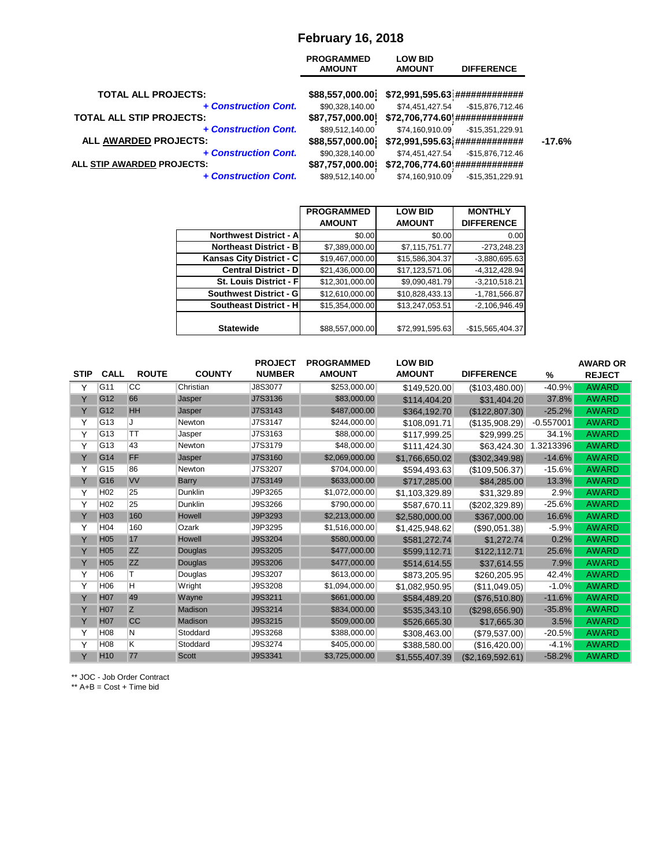#### **February 16, 2018**

|                                                         | <b>PROGRAMMED</b><br><b>AMOUNT</b> | <b>LOW BID</b><br><b>AMOUNT</b> | <b>DIFFERENCE</b>                                   |          |
|---------------------------------------------------------|------------------------------------|---------------------------------|-----------------------------------------------------|----------|
| <b>TOTAL ALL PROJECTS:</b>                              | \$88,557,000.00]                   |                                 | \$72,991,595.63 ##############                      |          |
| + Construction Cont.<br><b>TOTAL ALL STIP PROJECTS:</b> | \$90,328,140.00<br>\$87,757,000.00 | \$74,451,427.54                 | $-$15,876,712.46$<br>\$72,706,774.60 ############## |          |
| + Construction Cont.                                    | \$89,512,140.00                    | \$74,160,910.09                 | -\$15,351,229.91                                    |          |
| ALL AWARDED PROJECTS:                                   | \$88,557,000.00                    |                                 | \$72,991,595.63 ##############                      | $-17.6%$ |
| + Construction Cont.                                    | \$90,328,140.00                    | \$74,451,427.54                 | $-$15,876,712.46$                                   |          |
| ALL STIP AWARDED PROJECTS:                              | \$87,757,000.00                    |                                 | \$72,706,774.60 ##############                      |          |
| + Construction Cont.                                    | \$89,512,140.00                    | \$74,160,910.09                 | $-$15,351,229.91$                                   |          |

|                                | <b>PROGRAMMED</b> | <b>LOW BID</b>  | <b>MONTHLY</b>    |
|--------------------------------|-------------------|-----------------|-------------------|
|                                | <b>AMOUNT</b>     | <b>AMOUNT</b>   | <b>DIFFERENCE</b> |
| <b>Northwest District - Al</b> | \$0.00            | \$0.00          | 0.00              |
| <b>Northeast District - B</b>  | \$7,389,000.00    | \$7,115,751.77  | $-273,248.23$     |
| Kansas City District - C       | \$19,467,000.00   | \$15,586,304.37 | $-3,880,695.63$   |
| <b>Central District - D</b>    | \$21,436,000.00   | \$17,123,571.06 | $-4,312,428.94$   |
| St. Louis District - F         | \$12,301,000.00   | \$9,090,481.79  | $-3,210,518.21$   |
| Southwest District - G         | \$12,610,000.00   | \$10,828,433.13 | $-1,781,566.87$   |
| <b>Southeast District - H</b>  | \$15,354,000.00   | \$13,247,053.51 | $-2,106,946.49$   |
|                                |                   |                 |                   |
| <b>Statewide</b>               | \$88,557,000.00   | \$72,991,595.63 | $-$15,565,404.37$ |

|             |                 |              |               | <b>PROJECT</b> | <b>PROGRAMMED</b> | <b>LOW BID</b> |                   |               | <b>AWARD OR</b> |
|-------------|-----------------|--------------|---------------|----------------|-------------------|----------------|-------------------|---------------|-----------------|
| <b>STIP</b> | <b>CALL</b>     | <b>ROUTE</b> | <b>COUNTY</b> | <b>NUMBER</b>  | <b>AMOUNT</b>     | <b>AMOUNT</b>  | <b>DIFFERENCE</b> | $\frac{0}{0}$ | <b>REJECT</b>   |
| Y           | G11             | <b>CC</b>    | Christian     | J8S3077        | \$253,000.00      | \$149,520.00   | (\$103,480.00)    | $-40.9%$      | <b>AWARD</b>    |
| Y           | G <sub>12</sub> | 66           | Jasper        | J7S3136        | \$83,000.00       | \$114,404.20   | \$31,404.20       | 37.8%         | <b>AWARD</b>    |
| Y           | G12             | <b>HH</b>    | Jasper        | J7S3143        | \$487,000.00      | \$364,192.70   | (\$122,807.30)    | $-25.2%$      | <b>AWARD</b>    |
| Y           | G13             | J            | Newton        | J7S3147        | \$244,000.00      | \$108,091.71   | (\$135,908.29)    | $-0.557001$   | <b>AWARD</b>    |
| Y           | G13             | <b>TT</b>    | Jasper        | J7S3163        | \$88,000.00       | \$117,999.25   | \$29,999.25       | 34.1%         | <b>AWARD</b>    |
| Υ           | G13             | 43           | Newton        | J7S3179        | \$48,000.00       | \$111,424.30   | \$63,424.30       | 1.3213396     | <b>AWARD</b>    |
| Y           | G14             | <b>FF</b>    | Jasper        | J7S3160        | \$2,069,000.00    | \$1,766,650.02 | (\$302,349.98)    | $-14.6%$      | <b>AWARD</b>    |
| Y           | G15             | 86           | Newton        | J7S3207        | \$704,000.00      | \$594,493.63   | (\$109,506.37)    | $-15.6%$      | <b>AWARD</b>    |
| Y           | G <sub>16</sub> | <b>VV</b>    | <b>Barry</b>  | J7S3149        | \$633,000.00      | \$717,285.00   | \$84,285.00       | 13.3%         | <b>AWARD</b>    |
| Y           | H <sub>02</sub> | 25           | Dunklin       | J9P3265        | \$1,072,000.00    | \$1,103,329.89 | \$31,329.89       | 2.9%          | <b>AWARD</b>    |
| Y           | H <sub>02</sub> | 25           | Dunklin       | J9S3266        | \$790,000.00      | \$587,670.11   | $(\$202,329.89)$  | $-25.6%$      | <b>AWARD</b>    |
| Y           | H <sub>03</sub> | 160          | Howell        | J9P3293        | \$2,213,000.00    | \$2,580,000.00 | \$367,000.00      | 16.6%         | <b>AWARD</b>    |
| Y           | H <sub>04</sub> | 160          | Ozark         | J9P3295        | \$1,516,000.00    | \$1,425,948.62 | (\$90,051.38)     | $-5.9%$       | <b>AWARD</b>    |
| Ÿ           | <b>H05</b>      | 17           | Howell        | J9S3204        | \$580,000.00      | \$581,272.74   | \$1,272.74        | 0.2%          | <b>AWARD</b>    |
| Y           | <b>H05</b>      | <b>ZZ</b>    | Douglas       | J9S3205        | \$477,000.00      | \$599,112.71   | \$122,112.71      | 25.6%         | <b>AWARD</b>    |
| Y           | H <sub>05</sub> | <b>ZZ</b>    | Douglas       | J9S3206        | \$477,000.00      | \$514,614.55   | \$37,614.55       | 7.9%          | <b>AWARD</b>    |
| Y           | H <sub>06</sub> | т            | Douglas       | J9S3207        | \$613,000.00      | \$873,205.95   | \$260,205.95      | 42.4%         | <b>AWARD</b>    |
| Y           | H <sub>06</sub> | H            | Wright        | J9S3208        | \$1,094,000.00    | \$1,082,950.95 | (\$11,049.05)     | $-1.0%$       | <b>AWARD</b>    |
| Y           | <b>H07</b>      | 49           | Wayne         | J9S3211        | \$661,000.00      | \$584,489.20   | (\$76,510.80)     | $-11.6%$      | <b>AWARD</b>    |
| Y           | H <sub>07</sub> | Z            | Madison       | J9S3214        | \$834,000.00      | \$535,343.10   | (\$298,656.90)    | $-35.8%$      | <b>AWARD</b>    |
| Y           | H <sub>07</sub> | <b>CC</b>    | Madison       | J9S3215        | \$509,000.00      | \$526,665.30   | \$17,665.30       | 3.5%          | <b>AWARD</b>    |
| Y           | H <sub>08</sub> | Ν            | Stoddard      | J9S3268        | \$388,000.00      | \$308,463.00   | (\$79,537.00)     | $-20.5%$      | <b>AWARD</b>    |
| Y           | H <sub>08</sub> | K.           | Stoddard      | J9S3274        | \$405,000.00      | \$388,580.00   | (\$16,420.00)     | $-4.1%$       | <b>AWARD</b>    |
| Y           | H <sub>10</sub> | 77           | <b>Scott</b>  | J9S3341        | \$3,725,000.00    | \$1,555,407.39 | (\$2,169,592.61)  | $-58.2%$      | <b>AWARD</b>    |

\*\* JOC - Job Order Contract

 $**$  A+B = Cost + Time bid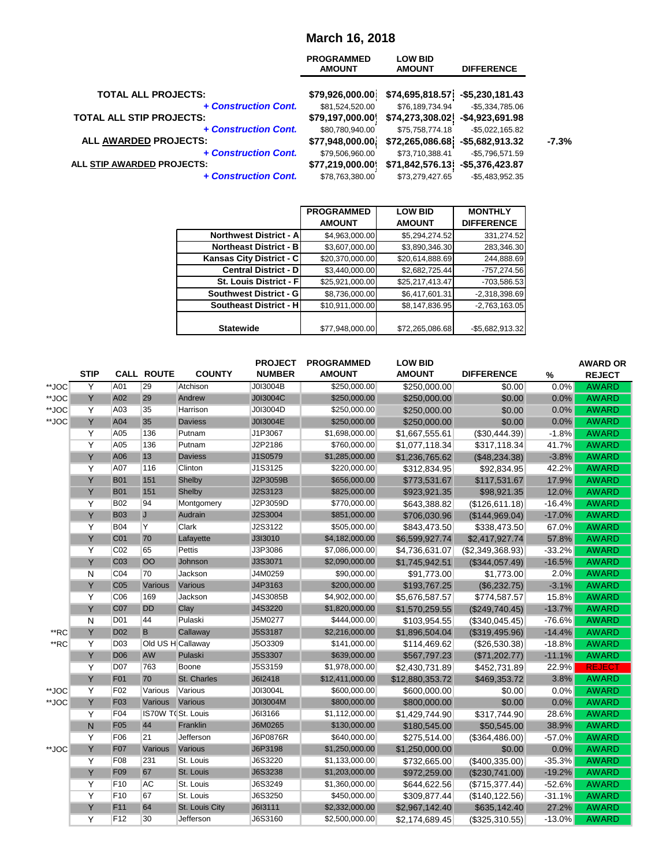## **March 16, 2018**

|                                               | <b>PROGRAMMED</b><br><b>AMOUNT</b>  | <b>LOW BID</b><br><b>AMOUNT</b>     | <b>DIFFERENCE</b>                    |         |
|-----------------------------------------------|-------------------------------------|-------------------------------------|--------------------------------------|---------|
| <b>TOTAL ALL PROJECTS:</b>                    | \$79,926,000.00]                    | \$74,695,818.57]                    | $-$5,230,181.43$                     |         |
| + Construction Cont.                          | \$81,524,520.00                     | \$76,189,734.94                     | $-$5,334,785.06$                     |         |
| <b>TOTAL ALL STIP PROJECTS:</b>               | \$79,197,000.00                     | \$74,273,308.02                     | $-$4,923,691.98$                     |         |
| + Construction Cont.<br>ALL AWARDED PROJECTS: | \$80,780,940.00<br>\$77,948,000.00] | \$75,758,774.18<br>\$72,265,086.68] | $-$5,022,165.82$<br>$-$5,682,913.32$ | $-7.3%$ |
| + Construction Cont.                          | \$79,506,960.00                     | \$73,710,388.41                     | $-$5,796,571.59$                     |         |
| ALL STIP AWARDED PROJECTS:                    | \$77,219,000.00                     | \$71,842,576.13                     | $-$5,376,423.87$                     |         |
| + Construction Cont.                          | \$78,763,380.00                     | \$73,279,427.65                     | $-$5,483,952.35$                     |         |

|                               | <b>PROGRAMMED</b> | <b>LOW BID</b>  | <b>MONTHLY</b>    |
|-------------------------------|-------------------|-----------------|-------------------|
|                               | <b>AMOUNT</b>     | <b>AMOUNT</b>   | <b>DIFFERENCE</b> |
| <b>Northwest District - A</b> | \$4,963,000.00    | \$5,294,274.52  | 331,274.52        |
| Northeast District - B        | \$3,607,000.00    | \$3,890,346.30  | 283,346.30        |
| Kansas City District - C      | \$20,370,000.00   | \$20,614,888.69 | 244,888.69        |
| <b>Central District - D</b>   | \$3,440,000.00    | \$2,682,725.44  | $-757,274.56$     |
| St. Louis District - F        | \$25,921,000.00   | \$25,217,413.47 | -703,586.53       |
| Southwest District - G        | \$8,736,000.00    | \$6,417,601.31  | $-2,318,398.69$   |
| <b>Southeast District - H</b> | \$10,911,000.00   | \$8,147,836.95  | $-2,763,163.05$   |
|                               |                   |                 |                   |
| <b>Statewide</b>              | \$77,948,000.00   | \$72,265,086.68 | -\$5,682,913.32   |

|       |              |                 |                   |                | <b>PROJECT</b> | <b>PROGRAMMED</b> | <b>LOW BID</b>  |                       |               | <b>AWARD OR</b> |
|-------|--------------|-----------------|-------------------|----------------|----------------|-------------------|-----------------|-----------------------|---------------|-----------------|
|       | <b>STIP</b>  |                 | <b>CALL ROUTE</b> | <b>COUNTY</b>  | <b>NUMBER</b>  | <b>AMOUNT</b>     | <b>AMOUNT</b>   | <b>DIFFERENCE</b>     | $\frac{0}{0}$ | <b>REJECT</b>   |
| **JOC | Y            | A01             | $\overline{29}$   | Atchison       | J0I3004B       | \$250,000.00      | \$250,000.00    | \$0.00                | 0.0%          | <b>AWARD</b>    |
| **JOC | Y            | A02             | 29                | Andrew         | J0I3004C       | \$250,000.00      | \$250,000.00    | \$0.00                | 0.0%          | <b>AWARD</b>    |
| **JOC | Y            | A03             | 35                | Harrison       | J0I3004D       | \$250,000.00      | \$250,000.00    | \$0.00                | 0.0%          | <b>AWARD</b>    |
| **JOC | Y            | A04             | 35                | <b>Daviess</b> | J0I3004E       | \$250,000.00      | \$250,000.00    | \$0.00                | 0.0%          | <b>AWARD</b>    |
|       | Y            | A05             | 136               | Putnam         | J1P3067        | \$1,698,000.00    | \$1,667,555.61  | (\$30,444.39)         | $-1.8%$       | <b>AWARD</b>    |
|       | Y            | A05             | 136               | Putnam         | J2P2186        | \$760,000.00      | \$1,077,118.34  | \$317,118.34          | 41.7%         | <b>AWARD</b>    |
|       | Y            | A06             | 13                | <b>Daviess</b> | J1S0579        | \$1,285,000.00    | \$1,236,765.62  | (\$48,234.38)         | $-3.8%$       | <b>AWARD</b>    |
|       | Y            | A07             | 116               | Clinton        | J1S3125        | \$220,000.00      | \$312,834.95    | \$92,834.95           | 42.2%         | <b>AWARD</b>    |
|       | Y            | <b>B01</b>      | 151               | Shelby         | J2P3059B       | \$656,000.00      | \$773,531.67    | \$117,531.67          | 17.9%         | <b>AWARD</b>    |
|       | Y            | <b>B01</b>      | 151               | Shelby         | J2S3123        | \$825,000.00      | \$923,921.35    | \$98,921.35           | 12.0%         | <b>AWARD</b>    |
|       | Y            | <b>B02</b>      | 94                | Montgomery     | J2P3059D       | \$770,000.00      | \$643,388.82    | (\$126,611.18)        | $-16.4%$      | <b>AWARD</b>    |
|       | Y            | <b>B03</b>      | $\overline{J}$    | Audrain        | J2S3004        | \$851,000.00      | \$706,030.96    | (\$144,969.04)        | $-17.0%$      | <b>AWARD</b>    |
|       | Y            | <b>B04</b>      | Y                 | Clark          | J2S3122        | \$505,000.00      | \$843,473.50    | \$338,473.50          | 67.0%         | <b>AWARD</b>    |
|       | Y            | C <sub>01</sub> | 70                | Lafayette      | J3I3010        | \$4,182,000.00    | \$6,599,927.74  | \$2,417,927.74        | 57.8%         | <b>AWARD</b>    |
|       | Y            | CO <sub>2</sub> | 65                | <b>Pettis</b>  | J3P3086        | \$7,086,000.00    | \$4,736,631.07  | (\$2,349,368.93)      | $-33.2%$      | <b>AWARD</b>    |
|       | Y            | C <sub>03</sub> | OO                | Johnson        | J3S3071        | \$2,090,000.00    | \$1,745,942.51  | (\$344,057.49)        | $-16.5%$      | <b>AWARD</b>    |
|       | $\mathsf{N}$ | CO <sub>4</sub> | 70                | Jackson        | J4M0259        | \$90,000.00       | \$91,773.00     | \$1,773.00            | 2.0%          | <b>AWARD</b>    |
|       | Y            | C <sub>05</sub> | Various           | Various        | J4P3163        | \$200,000.00      | \$193,767.25    | (\$6,232.75)          | $-3.1%$       | <b>AWARD</b>    |
|       | Y            | C06             | 169               | Jackson        | J4S3085B       | \$4,902,000.00    | \$5,676,587.57  | \$774,587.57          | 15.8%         | <b>AWARD</b>    |
|       | Y            | C07             | <b>DD</b>         | Clay           | J4S3220        | \$1,820,000.00    | \$1,570,259.55  | (\$249,740.45)        | $-13.7%$      | <b>AWARD</b>    |
|       | N            | D <sub>01</sub> | 44                | Pulaski        | J5M0277        | \$444,000.00      | \$103,954.55    | (\$340,045.45)        | $-76.6%$      | <b>AWARD</b>    |
| **RC  | Y            | <b>D02</b>      | B                 | Callaway       | <b>J5S3187</b> | \$2,216,000.00    | \$1,896,504.04  | (\$319,495.96)        | $-14.4%$      | <b>AWARD</b>    |
| **RC  | Y            | D <sub>03</sub> | Old US H Callaway |                | J5O3309        | \$141,000.00      | \$114,469.62    | $(\$26,530.38)$       | $-18.8%$      | <b>AWARD</b>    |
|       | Y            | <b>D06</b>      | <b>AW</b>         | Pulaski        | <b>J5S3307</b> | \$639,000.00      | \$567,797.23    | (\$71,202.77)         | $-11.1%$      | <b>AWARD</b>    |
|       | Y            | <b>D07</b>      | 763               | Boone          | J5S3159        | \$1,978,000.00    | \$2,430,731.89  | \$452,731.89          | 22.9%         | <b>REJECT</b>   |
|       | Y            | F <sub>01</sub> | 70                | St. Charles    | J6I2418        | \$12,411,000.00   | \$12,880,353.72 | \$469,353.72          | 3.8%          | <b>AWARD</b>    |
| **JOC | Y            | F <sub>02</sub> | Various           | Various        | J0I3004L       | \$600,000.00      | \$600,000.00    | \$0.00                | 0.0%          | <b>AWARD</b>    |
| **JOC | Ÿ            | F <sub>03</sub> | Various           | Various        | J0I3004M       | \$800,000.00      | \$800,000.00    | \$0.00                | 0.0%          | <b>AWARD</b>    |
|       | Y            | F04             | IS70W TOSt. Louis |                | J6I3166        | \$1,112,000.00    | \$1,429,744.90  | \$317,744.90          | 28.6%         | <b>AWARD</b>    |
|       | N            | F <sub>05</sub> | 44                | Franklin       | J6M0265        | \$130,000.00      | \$180,545.00    | \$50,545.00           | 38.9%         | <b>AWARD</b>    |
|       | Y            | F06             | 21                | Jefferson      | J6P0876R       | \$640,000.00      | \$275,514.00    | (\$364,486.00)        | $-57.0%$      | <b>AWARD</b>    |
| **JOC | Y            | F07             | Various           | Various        | J6P3198        | \$1,250,000.00    | \$1,250,000.00  | \$0.00                | 0.0%          | <b>AWARD</b>    |
|       | Υ            | F08             | 231               | St. Louis      | J6S3220        | \$1,133,000.00    | \$732,665.00    | $($ \$400,335.00) $ $ | $-35.3%$      | <b>AWARD</b>    |
|       | Y            | F <sub>09</sub> | 67                | St. Louis      | J6S3238        | \$1,203,000.00    | \$972,259.00    | (\$230,741.00)        | $-19.2%$      | <b>AWARD</b>    |
|       | Υ            | F <sub>10</sub> | AC                | St. Louis      | J6S3249        | \$1,360,000.00    | \$644,622.56    | (\$715,377.44)        | $-52.6%$      | <b>AWARD</b>    |
|       | Y            | F <sub>10</sub> | 67                | St. Louis      | J6S3250        | \$450,000.00      | \$309,877.44    | (\$140, 122.56)       | $-31.1%$      | <b>AWARD</b>    |
|       | Y            | F11             | 64                | St. Louis City | J6I3111        | \$2,332,000.00    | \$2,967,142.40  | \$635,142.40          | 27.2%         | <b>AWARD</b>    |
|       | Y            | F12             | 30                | Jefferson      | J6S3160        | \$2,500,000.00    | \$2,174,689.45  | (\$325,310.55)        | $-13.0%$      | <b>AWARD</b>    |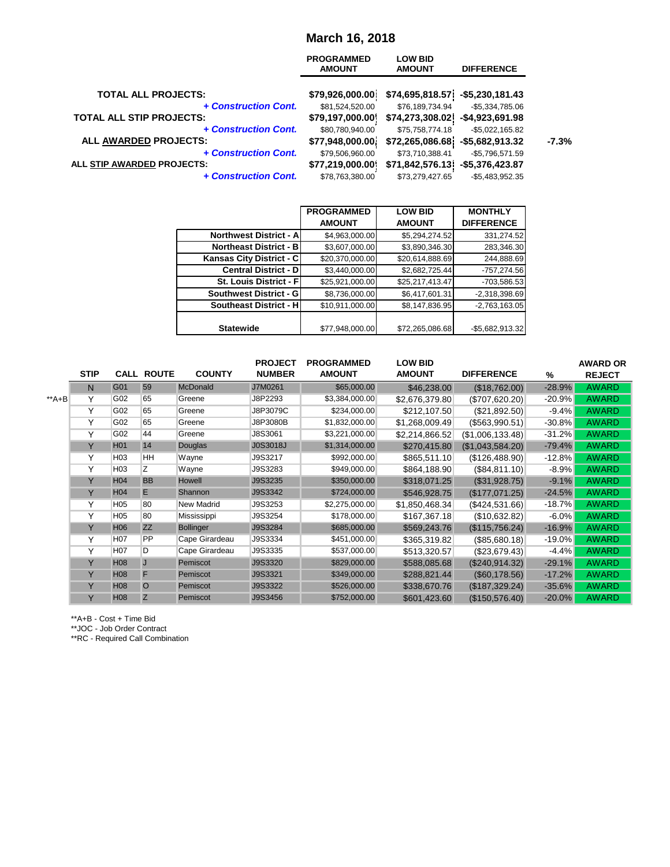#### **March 16, 2018**

|                                 | <b>PROGRAMMED</b><br><b>AMOUNT</b> | <b>LOW BID</b><br><b>AMOUNT</b> | <b>DIFFERENCE</b>  |         |
|---------------------------------|------------------------------------|---------------------------------|--------------------|---------|
| <b>TOTAL ALL PROJECTS:</b>      | \$79,926,000.00]                   | \$74,695,818.57]                | $-$5,230,181.43$   |         |
| + Construction Cont.            | \$81,524,520.00                    | \$76,189,734.94                 | $-$5,334,785.06$   |         |
| <b>TOTAL ALL STIP PROJECTS:</b> | \$79,197,000.00                    | \$74,273,308.02                 | $-$4,923,691.98$   |         |
| + Construction Cont.            | \$80,780,940.00                    | \$75,758,774.18                 | $-$5,022,165.82$   |         |
| ALL AWARDED PROJECTS:           | \$77,948,000.00]                   | \$72,265,086.68]                | $-$ \$5,682,913.32 | $-7.3%$ |
| + Construction Cont.            | \$79,506,960.00                    | \$73,710,388.41                 | $-$5,796,571.59$   |         |
| ALL STIP AWARDED PROJECTS:      | \$77,219,000.00                    | \$71,842,576.13]                | $-$5,376,423.87$   |         |
| + Construction Cont.            | \$78,763,380.00                    | \$73,279,427.65                 | $-$5,483,952.35$   |         |

|                               | <b>PROGRAMMED</b> | <b>LOW BID</b>  | <b>MONTHLY</b>    |
|-------------------------------|-------------------|-----------------|-------------------|
|                               | <b>AMOUNT</b>     | <b>AMOUNT</b>   | <b>DIFFERENCE</b> |
| <b>Northwest District - A</b> | \$4,963,000.00    | \$5,294,274.52  | 331,274.52        |
| <b>Northeast District - B</b> | \$3,607,000.00    | \$3,890,346.30  | 283,346.30        |
| Kansas City District - C      | \$20,370,000.00   | \$20,614,888.69 | 244,888.69        |
| <b>Central District - D</b>   | \$3,440,000.00    | \$2,682,725.44  | $-757,274.56$     |
| St. Louis District - F        | \$25,921,000.00   | \$25,217,413.47 | -703,586.53       |
| Southwest District - G        | \$8,736,000.00    | \$6,417,601.31  | $-2,318,398.69$   |
| <b>Southeast District - H</b> | \$10,911,000.00   | \$8,147,836.95  | $-2,763,163.05$   |
|                               |                   |                 |                   |
| <b>Statewide</b>              | \$77,948,000.00   | \$72,265,086.68 | -\$5,682,913.32   |

|        |             |                  |                   |                  | <b>PROJECT</b>  | <b>PROGRAMMED</b> | <b>LOW BID</b> |                   |           | <b>AWARD OR</b> |
|--------|-------------|------------------|-------------------|------------------|-----------------|-------------------|----------------|-------------------|-----------|-----------------|
|        | <b>STIP</b> |                  | <b>CALL ROUTE</b> | <b>COUNTY</b>    | <b>NUMBER</b>   | <b>AMOUNT</b>     | <b>AMOUNT</b>  | <b>DIFFERENCE</b> | $\%$      | <b>REJECT</b>   |
|        | N           | G01              | 59                | <b>McDonald</b>  | J7M0261         | \$65,000.00       | \$46,238.00    | (\$18,762.00)     | $-28.9%$  | <b>AWARD</b>    |
| $*A+B$ | Y           | G02              | 65                | Greene           | J8P2293         | \$3,384,000.00    | \$2,676,379.80 | (\$707,620.20)    | $-20.9%$  | <b>AWARD</b>    |
|        | Y           | G02              | 65                | Greene           | J8P3079C        | \$234,000.00      | \$212,107.50   | (\$21,892.50)     | $-9.4%$   | <b>AWARD</b>    |
|        | Y           | G02              | 65                | Greene           | J8P3080B        | \$1,832,000.00    | \$1,268,009.49 | $(\$563,990.51)$  | $-30.8%$  | <b>AWARD</b>    |
|        | Υ           | G02              | 44                | Greene           | J8S3061         | \$3,221,000.00    | \$2,214,866.52 | (\$1,006,133.48)  | $-31.2%$  | <b>AWARD</b>    |
|        | Y           | H <sub>01</sub>  | 14                | Douglas          | <b>J0S3018J</b> | \$1,314,000.00    | \$270,415.80   | (\$1,043,584.20)  | $-79.4%$  | <b>AWARD</b>    |
|        | Y           | H <sub>03</sub>  | HH                | Wayne            | J9S3217         | \$992,000.00      | \$865,511.10   | (\$126,488.90)    | $-12.8%$  | <b>AWARD</b>    |
|        | Y           | H <sub>03</sub>  | Z                 | Wayne            | J9S3283         | \$949,000.00      | \$864,188.90   | (\$84,811.10)     | $-8.9%$   | <b>AWARD</b>    |
|        | Y           | H <sub>04</sub>  | <b>BB</b>         | Howell           | J9S3235         | \$350,000.00      | \$318,071.25   | (\$31,928.75)     | $-9.1%$   | <b>AWARD</b>    |
|        | Y           | H <sub>04</sub>  | E                 | Shannon          | J9S3342         | \$724,000.00      | \$546,928.75   | (\$177,071.25)    | $-24.5%$  | <b>AWARD</b>    |
|        | Y           | H <sub>05</sub>  | 80                | New Madrid       | J9S3253         | \$2,275,000.00    | \$1,850,468.34 | (\$424,531.66)    | $-18.7%$  | <b>AWARD</b>    |
|        | Y           | H <sub>05</sub>  | 80                | Mississippi      | J9S3254         | \$178,000.00      | \$167,367.18   | (\$10,632.82)     | $-6.0%$   | <b>AWARD</b>    |
|        | Y           | <b>H06</b>       | <b>ZZ</b>         | <b>Bollinger</b> | J9S3284         | \$685,000.00      | \$569,243.76   | (\$115,756.24)    | $-16.9%$  | <b>AWARD</b>    |
|        | Y           | H <sub>0</sub> 7 | PP                | Cape Girardeau   | J9S3334         | \$451,000.00      | \$365,319.82   | (\$85,680.18)     | $-19.0%$  | <b>AWARD</b>    |
|        | Y           | H07              | D                 | Cape Girardeau   | J9S3335         | \$537,000.00      | \$513,320.57   | (\$23,679.43)     | $-4.4%$   | <b>AWARD</b>    |
|        | Y           | H <sub>08</sub>  | J                 | Pemiscot         | J9S3320         | \$829,000.00      | \$588,085.68   | (\$240,914.32)    | $-29.1%$  | <b>AWARD</b>    |
|        | Y           | H <sub>08</sub>  | F                 | Pemiscot         | J9S3321         | \$349,000.00      | \$288,821.44   | (\$60,178.56)     | $-17.2%$  | <b>AWARD</b>    |
|        | Y           | H <sub>0</sub> 8 | $\overline{O}$    | Pemiscot         | J9S3322         | \$526,000.00      | \$338,670.76   | (\$187,329.24)    | $-35.6%$  | <b>AWARD</b>    |
|        | Y           | H08              | Z                 | Pemiscot         | J9S3456         | \$752,000.00      | \$601,423.60   | (\$150,576.40)    | $-20.0\%$ | <b>AWARD</b>    |

\*\*A+B - Cost + Time Bid

\*\*JOC - Job Order Contract

\*\*RC - Required Call Combination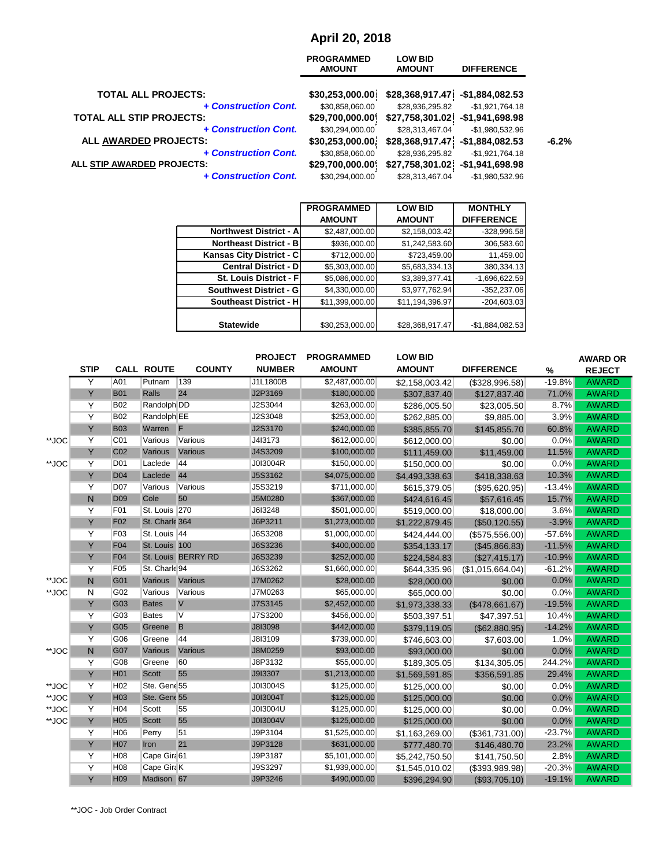# **April 20, 2018**

| <b>PROGRAMMED</b><br><b>AMOUNT</b> | <b>LOW BID</b><br><b>AMOUNT</b> | <b>DIFFERENCE</b> |                                      |
|------------------------------------|---------------------------------|-------------------|--------------------------------------|
| \$30,253,000.00]                   |                                 | $-$1,884,082.53$  |                                      |
| \$30,858,060.00                    | \$28,936,295.82                 | $-$1,921,764.18$  |                                      |
| \$29,700,000.00                    |                                 | $-$1,941,698.98$  |                                      |
| \$30,294,000.00                    | \$28,313,467.04                 | $-$1,980,532.96$  |                                      |
| \$30,253,000.00]                   | \$28,368,917.47                 | $-$1,884,082.53$  | $-6.2%$                              |
| \$30,858,060.00                    | \$28,936,295.82                 | $-$1,921,764.18$  |                                      |
| \$29,700,000.00                    |                                 | $-$1,941,698.98$  |                                      |
| \$30,294,000.00                    | \$28,313,467.04                 | $-$1,980,532.96$  |                                      |
|                                    |                                 | \$27,758,301.02   | \$28,368,917.47]<br>\$27,758,301.02] |

|                               | <b>PROGRAMMED</b> | <b>LOW BID</b>  | <b>MONTHLY</b>    |
|-------------------------------|-------------------|-----------------|-------------------|
|                               | <b>AMOUNT</b>     | <b>AMOUNT</b>   | <b>DIFFERENCE</b> |
| <b>Northwest District - A</b> | \$2,487,000.00    | \$2,158,003.42  | -328,996.58       |
| <b>Northeast District - B</b> | \$936,000.00      | \$1,242,583.60  | 306,583.60        |
| Kansas City District - C      | \$712,000.00      | \$723,459.00    | 11,459.00         |
| <b>Central District - D</b>   | \$5,303,000.00    | \$5,683,334.13  | 380,334.13        |
| St. Louis District - F        | \$5,086,000.00    | \$3,389,377.41  | $-1,696,622.59$   |
| Southwest District - G        | \$4,330,000.00    | \$3,977,762.94  | $-352,237.06$     |
| <b>Southeast District - H</b> | \$11,399,000.00   | \$11,194,396.97 | $-204,603.03$     |
|                               |                   |                 |                   |
| <b>Statewide</b>              | \$30,253,000.00   | \$28,368,917.47 | $-$1,884,082.53$  |

|       |                |                 |                   |                    | <b>PROJECT</b> | <b>PROGRAMMED</b> | <b>LOW BID</b> |                   |          | <b>AWARD OR</b> |
|-------|----------------|-----------------|-------------------|--------------------|----------------|-------------------|----------------|-------------------|----------|-----------------|
|       | <b>STIP</b>    |                 | <b>CALL ROUTE</b> | <b>COUNTY</b>      | <b>NUMBER</b>  | <b>AMOUNT</b>     | <b>AMOUNT</b>  | <b>DIFFERENCE</b> | %        | <b>REJECT</b>   |
|       | Y              | A01             | Putnam            | 139                | J1L1800B       | \$2,487,000.00    | \$2,158,003.42 | (\$328,996.58)    | $-19.8%$ | <b>AWARD</b>    |
|       | Y              | <b>B01</b>      | <b>Ralls</b>      | 24                 | J2P3169        | \$180,000.00      | \$307,837.40   | \$127,837.40      | 71.0%    | <b>AWARD</b>    |
|       | Y              | <b>B02</b>      | Randolph DD       |                    | J2S3044        | \$263,000.00      | \$286,005.50   | \$23,005.50       | 8.7%     | <b>AWARD</b>    |
|       | $\overline{Y}$ | <b>B02</b>      | Randolph EE       |                    | J2S3048        | \$253,000.00      | \$262,885.00   | \$9,885.00        | 3.9%     | <b>AWARD</b>    |
|       | Y              | <b>B03</b>      | Warren            | F                  | J2S3170        | \$240,000.00      | \$385,855.70   | \$145,855.70      | 60.8%    | <b>AWARD</b>    |
| **JOC | Y              | C01             | Various           | Various            | J4I3173        | \$612,000.00      | \$612,000.00   | \$0.00            | 0.0%     | <b>AWARD</b>    |
|       | Y              | C <sub>02</sub> | Various           | Various            | J4S3209        | \$100,000.00      | \$111,459.00   | \$11,459.00       | 11.5%    | <b>AWARD</b>    |
| **JOC | Y              | D <sub>01</sub> | Laclede           | 44                 | J0I3004R       | \$150,000.00      | \$150,000.00   | \$0.00            | 0.0%     | <b>AWARD</b>    |
|       | Y              | D <sub>04</sub> | Laclede           | 44                 | J5S3162        | \$4,075,000.00    | \$4,493,338.63 | \$418,338.63      | 10.3%    | <b>AWARD</b>    |
|       | Y              | D07             | Various           | Various            | J5S3219        | \$711,000.00      | \$615,379.05   | (\$95,620.95)     | $-13.4%$ | <b>AWARD</b>    |
|       | N              | D <sub>09</sub> | Cole              | 50                 | J5M0280        | \$367,000.00      | \$424,616.45   | \$57,616.45       | 15.7%    | <b>AWARD</b>    |
|       | Υ              | F01             | St. Louis 270     |                    | J6I3248        | \$501,000.00      | \$519,000.00   | \$18,000.00       | 3.6%     | <b>AWARD</b>    |
|       | Y              | F <sub>02</sub> | St. Charle 364    |                    | J6P3211        | \$1,273,000.00    | \$1,222,879.45 | (\$50,120.55)     | $-3.9%$  | <b>AWARD</b>    |
|       | Y              | F03             | St. Louis 44      |                    | J6S3208        | \$1,000,000.00    | \$424,444.00   | (\$575,556.00)    | $-57.6%$ | <b>AWARD</b>    |
|       | Y              | F04             | St. Louis 100     |                    | J6S3236        | \$400,000.00      | \$354,133.17   | (\$45,866.83)     | $-11.5%$ | <b>AWARD</b>    |
|       | Y              | F04             |                   | St. Louis BERRY RD | J6S3239        | \$252,000.00      | \$224,584.83   | (\$27,415.17)     | $-10.9%$ | <b>AWARD</b>    |
|       | Y              | F <sub>05</sub> | St. Charle 94     |                    | J6S3262        | \$1,660,000.00    | \$644,335.96   | (\$1,015,664.04)  | $-61.2%$ | <b>AWARD</b>    |
| **JOC | $\overline{N}$ | G01             | Various           | Various            | J7M0262        | \$28,000.00       | \$28,000.00    | \$0.00            | 0.0%     | <b>AWARD</b>    |
| **JOC | N              | G02             | Various           | Various            | J7M0263        | \$65,000.00       | \$65,000.00    | \$0.00            | 0.0%     | <b>AWARD</b>    |
|       | Y              | G03             | <b>Bates</b>      | $\vee$             | J7S3145        | \$2,452,000.00    | \$1,973,338.33 | (\$478,661.67)    | $-19.5%$ | <b>AWARD</b>    |
|       | Y              | G03             | <b>Bates</b>      | V                  | J7S3200        | \$456,000.00      | \$503,397.51   | \$47,397.51       | 10.4%    | <b>AWARD</b>    |
|       | Y              | G05             | Greene            | B                  | J8I3098        | \$442,000.00      | \$379,119.05   | (\$62,880.95)     | $-14.2%$ | <b>AWARD</b>    |
|       | Y              | G06             | Greene            | 44                 | J8I3109        | \$739,000.00      | \$746,603.00   | \$7,603.00        | 1.0%     | <b>AWARD</b>    |
| **JOC | $\mathsf{N}$   | G07             | Various           | Various            | J8M0259        | \$93,000.00       | \$93,000.00    | \$0.00            | 0.0%     | <b>AWARD</b>    |
|       | Y              | G08             | Greene            | 60                 | J8P3132        | \$55,000.00       | \$189,305.05   | \$134,305.05      | 244.2%   | <b>AWARD</b>    |
|       | Y              | H <sub>01</sub> | <b>Scott</b>      | 55                 | J9I3307        | \$1,213,000.00    | \$1,569,591.85 | \$356,591.85      | 29.4%    | <b>AWARD</b>    |
| **JOC | Υ              | H <sub>02</sub> | Ste. Gene 55      |                    | J0I3004S       | \$125,000.00      | \$125,000.00   | \$0.00            | 0.0%     | <b>AWARD</b>    |
| **JOC | Y              | H <sub>03</sub> | Ste. Gene 55      |                    | J0I3004T       | \$125,000.00      | \$125,000.00   | \$0.00            | 0.0%     | <b>AWARD</b>    |
| **JOC | Y              | H <sub>04</sub> | Scott             | 55                 | J0I3004U       | \$125,000.00      | \$125,000.00   | \$0.00            | 0.0%     | <b>AWARD</b>    |
| **JOC | Y              | H <sub>05</sub> | <b>Scott</b>      | 55                 | J0I3004V       | \$125,000.00      | \$125,000.00   | \$0.00            | 0.0%     | <b>AWARD</b>    |
|       | Y              | H06             | Perry             | 51                 | J9P3104        | \$1,525,000.00    | \$1,163,269.00 | (\$361,731.00)    | $-23.7%$ | <b>AWARD</b>    |
|       | Y              | H <sub>07</sub> | Iron              | 21                 | J9P3128        | \$631,000.00      | \$777,480.70   | \$146,480.70      | 23.2%    | <b>AWARD</b>    |
|       | Y              | H <sub>08</sub> | Cape Gira 61      |                    | J9P3187        | \$5,101,000.00    | \$5,242,750.50 | \$141,750.50      | 2.8%     | <b>AWARD</b>    |
|       | Υ              | H <sub>08</sub> | Cape Gira K       |                    | J9S3297        | \$1,939,000.00    | \$1,545,010.02 | (\$393,989.98)    | $-20.3%$ | <b>AWARD</b>    |
|       | Y              | H <sub>09</sub> | Madison 67        |                    | J9P3246        | \$490,000.00      | \$396,294.90   | (\$93,705.10)     | $-19.1%$ | <b>AWARD</b>    |

\*\*JOC - Job Order Contract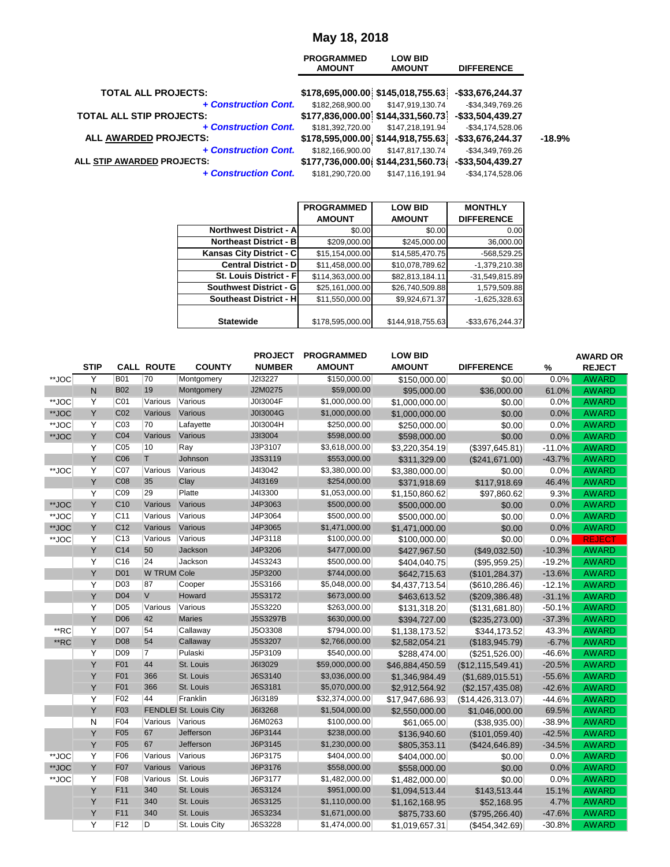## **May 18, 2018**

|                                                         | <b>PROGRAMMED</b><br><b>AMOUNT</b> | <b>LOW BID</b><br><b>AMOUNT</b>                                        | <b>DIFFERENCE</b>   |          |
|---------------------------------------------------------|------------------------------------|------------------------------------------------------------------------|---------------------|----------|
| <b>TOTAL ALL PROJECTS:</b>                              |                                    | $$178,695,000.00$ $$145,018,755.63$                                    | -\$33,676,244.37    |          |
| + Construction Cont.                                    | \$182,268,900.00                   | \$147,919,130.74                                                       | -\$34,349,769.26    |          |
| <b>TOTAL ALL STIP PROJECTS:</b><br>+ Construction Cont. | \$181,392,720.00                   | \$177,836,000.00 \$144,331,560.73 -\$33,504,439.27<br>\$147,218,191.94 | -\$34,174,528.06    |          |
| ALL AWARDED PROJECTS:                                   |                                    | $$178,595,000.00$ $$144,918,755.63$                                    | -\$33,676,244.37    | $-18.9%$ |
| + Construction Cont.                                    | \$182,166,900.00                   | \$147,817,130.74                                                       | -\$34,349,769.26    |          |
| ALL STIP AWARDED PROJECTS:                              |                                    | $$177,736,000.00$ $$144,231,560.73$                                    | -\$33,504,439.27    |          |
| + Construction Cont.                                    | \$181,290,720.00                   | \$147,116,191.94                                                       | $-$ \$34,174,528.06 |          |

|                               | <b>PROGRAMMED</b> | <b>LOW BID</b>   | <b>MONTHLY</b>    |
|-------------------------------|-------------------|------------------|-------------------|
|                               | <b>AMOUNT</b>     | <b>AMOUNT</b>    | <b>DIFFERENCE</b> |
| <b>Northwest District - A</b> | \$0.00            | \$0.00           | 0.00              |
| <b>Northeast District - B</b> | \$209,000.00      | \$245,000.00     | 36,000.00         |
| Kansas City District - C      | \$15,154,000.00   | \$14,585,470.75  | -568,529.25       |
| <b>Central District - D</b>   | \$11,458,000.00   | \$10,078,789.62  | $-1,379,210.38$   |
| <b>St. Louis District - F</b> | \$114,363,000.00  | \$82,813,184.11  | -31,549,815.89    |
| <b>Southwest District - G</b> | \$25,161,000.00   | \$26,740,509.88  | 1,579,509.88      |
| Southeast District - H        | \$11,550,000.00   | \$9,924,671.37   | $-1,625,328.63$   |
|                               |                   |                  |                   |
| <b>Statewide</b>              | \$178,595,000.00  | \$144,918,755.63 | -\$33,676,244.37  |
|                               |                   |                  |                   |

|       | <b>STIP</b> |                 | <b>CALL ROUTE</b>  | <b>COUNTY</b>                 | <b>PROJECT</b><br><b>NUMBER</b> | <b>PROGRAMMED</b><br><b>AMOUNT</b> | <b>LOW BID</b><br><b>AMOUNT</b> | <b>DIFFERENCE</b>        | $\%$     | <b>AWARD OR</b><br><b>REJECT</b> |
|-------|-------------|-----------------|--------------------|-------------------------------|---------------------------------|------------------------------------|---------------------------------|--------------------------|----------|----------------------------------|
| **JOC | Y           | <b>B01</b>      | 70                 | Montgomery                    | J2I3227                         | \$150,000.00                       | \$150,000.00                    | \$0.00                   | 0.0%     | <b>AWARD</b>                     |
|       | N           | <b>B02</b>      | 19                 | Montgomery                    | J2M0275                         | \$59,000.00                        | \$95,000.00                     | \$36,000.00              | 61.0%    | <b>AWARD</b>                     |
| **JOC | Y           | C <sub>01</sub> | Various            | Various                       | J0I3004F                        | \$1,000,000.00                     | \$1,000,000.00                  | \$0.00                   | 0.0%     | <b>AWARD</b>                     |
| **JOC | Y           | C <sub>02</sub> | Various            | Various                       | J0I3004G                        | \$1,000,000.00                     | \$1,000,000.00                  | \$0.00                   | 0.0%     | <b>AWARD</b>                     |
| **JOC | Υ           | C <sub>03</sub> | 70                 | Lafayette                     | J0I3004H                        | \$250,000.00                       | \$250,000.00                    | \$0.00                   | 0.0%     | <b>AWARD</b>                     |
| **JOC | Y           | C <sub>04</sub> | Various            | Various                       | J3I3004                         | \$598,000.00                       | \$598,000.00                    | \$0.00                   | 0.0%     | <b>AWARD</b>                     |
|       | Y           | C <sub>05</sub> | 10                 | Ray                           | J3P3107                         | \$3,618,000.00                     | \$3,220,354.19                  | (\$397,645.81)           | $-11.0%$ | <b>AWARD</b>                     |
|       | Y           | C <sub>06</sub> | T                  | Johnson                       | J3S3119                         | \$553,000.00                       | \$311,329.00                    | (\$241,671.00)           | $-43.7%$ | <b>AWARD</b>                     |
| **JOC | Y           | C07             | Various            | Various                       | J4I3042                         | \$3,380,000.00                     | \$3,380,000.00                  | \$0.00                   | 0.0%     | <b>AWARD</b>                     |
|       | Y           | C <sub>08</sub> | 35                 | Clay                          | J4I3169                         | \$254,000.00                       | \$371,918.69                    | \$117,918.69             | 46.4%    | <b>AWARD</b>                     |
|       | Υ           | C <sub>09</sub> | 29                 | Platte                        | J4I3300                         | \$1,053,000.00                     | \$1,150,860.62                  | \$97,860.62              | 9.3%     | <b>AWARD</b>                     |
| **JOC | Y           | C <sub>10</sub> | Various            | Various                       | J4P3063                         | \$500,000.00                       | \$500,000.00                    | \$0.00                   | 0.0%     | <b>AWARD</b>                     |
| **JOC | Y           | C <sub>11</sub> | Various            | Various                       | J4P3064                         | \$500,000.00                       | \$500,000.00                    | \$0.00                   | 0.0%     | <b>AWARD</b>                     |
| **JOC | Y           | C <sub>12</sub> | Various            | Various                       | J4P3065                         | \$1,471,000.00                     | \$1,471,000.00                  | \$0.00                   | 0.0%     | <b>AWARD</b>                     |
| **JOC | Y           | C <sub>13</sub> | Various            | Various                       | J4P3118                         | \$100,000.00                       | \$100,000.00                    | \$0.00                   | 0.0%     | <b>REJECT</b>                    |
|       | Y           | C <sub>14</sub> | 50                 | Jackson                       | J4P3206                         | \$477,000.00                       | \$427,967.50                    | (\$49,032.50)            | $-10.3%$ | <b>AWARD</b>                     |
|       | Υ           | C16             | 24                 | Jackson                       | J4S3243                         | \$500,000.00                       | \$404,040.75                    | (\$95,959.25)            | $-19.2%$ | <b>AWARD</b>                     |
|       | Y           | <b>D01</b>      | <b>W TRUM Cole</b> |                               | J5P3200                         | \$744,000.00                       | \$642,715.63                    | (\$101, 284.37)          | $-13.6%$ | <b>AWARD</b>                     |
|       | Υ           | D <sub>03</sub> | 87                 | Cooper                        | J5S3166                         | \$5,048,000.00                     | \$4,437,713.54                  | (\$610, 286.46)          | $-12.1%$ | <b>AWARD</b>                     |
|       | Y           | <b>D04</b>      | V                  | Howard                        | J5S3172                         | \$673,000.00                       | \$463,613.52                    | (\$209,386.48)           | $-31.1%$ | <b>AWARD</b>                     |
|       | Y           | D <sub>05</sub> | Various            | Various                       | J5S3220                         | \$263,000.00                       | \$131,318.20                    | (\$131,681.80)           | $-50.1%$ | <b>AWARD</b>                     |
|       | Y           | <b>D06</b>      | 42                 | <b>Maries</b>                 | J5S3297B                        | \$630,000.00                       | \$394,727.00                    | (\$235,273.00)           | $-37.3%$ | <b>AWARD</b>                     |
| **RC  | Y           | D07             | 54                 | Callaway                      | J5O3308                         | \$794,000.00                       | \$1,138,173.52                  | \$344,173.52             | 43.3%    | <b>AWARD</b>                     |
| **RC  | Y           | <b>D08</b>      | 54                 | Callaway                      | J5S3207                         | \$2,766,000.00                     | \$2,582,054.21                  | (\$183,945.79)           | $-6.7%$  | <b>AWARD</b>                     |
|       | Υ           | D <sub>09</sub> | $\overline{7}$     | Pulaski                       | J5P3109                         | \$540,000.00                       | \$288,474.00                    | (\$251,526.00)           | $-46.6%$ | <b>AWARD</b>                     |
|       | Y           | F01             | 44                 | St. Louis                     | J6I3029                         | \$59,000,000.00                    | \$46,884,450.59                 | (\$12, 115, 549.41)      | $-20.5%$ | <b>AWARD</b>                     |
|       | Υ           | F01             | 366                | St. Louis                     | J6S3140                         | \$3,036,000.00                     | \$1,346,984.49                  | (\$1,689,015.51)         | $-55.6%$ | <b>AWARD</b>                     |
|       | Y           | F01             | 366                | St. Louis                     | J6S3181                         | \$5,070,000.00                     | \$2,912,564.92                  | (\$2,157,435.08)         | $-42.6%$ | <b>AWARD</b>                     |
|       | Y           | F02             | 44                 | Franklin                      | J6I3189                         | \$32,374,000.00                    | \$17,947,686.93                 | $($ \$14,426,313.07) $ $ | $-44.6%$ | <b>AWARD</b>                     |
|       | Y           | F <sub>03</sub> |                    | <b>FENDLEI St. Louis City</b> | J6I3268                         | \$1,504,000.00                     | \$2,550,000.00                  | \$1,046,000.00           | 69.5%    | <b>AWARD</b>                     |
|       | N           | F04             | Various            | Various                       | J6M0263                         | \$100,000.00                       | \$61,065.00                     | ( \$38, 935.00)          | $-38.9%$ | <b>AWARD</b>                     |
|       | Y           | F <sub>05</sub> | 67                 | Jefferson                     | J6P3144                         | \$238,000.00                       | \$136,940.60                    | (\$101,059.40)           | $-42.5%$ | <b>AWARD</b>                     |
|       | Y           | F <sub>05</sub> | 67                 | Jefferson                     | J6P3145                         | \$1,230,000.00                     | \$805,353.11                    | (\$424,646.89)           | $-34.5%$ | <b>AWARD</b>                     |
| **JOC | Υ           | F06             | Various            | Various                       | J6P3175                         | \$404,000.00                       | \$404,000.00                    | \$0.00                   | $0.0\%$  | <b>AWARD</b>                     |
| **JOC | Y           | F <sub>07</sub> | Various            | Various                       | J6P3176                         | \$558,000.00                       | \$558,000.00                    | \$0.00                   | 0.0%     | <b>AWARD</b>                     |
| **JOC | Y           | F08             | Various            | St. Louis                     | J6P3177                         | \$1,482,000.00                     | \$1,482,000.00                  | \$0.00                   | $0.0\%$  | <b>AWARD</b>                     |
|       | Y           | F11             | 340                | St. Louis                     | J6S3124                         | \$951,000.00                       | \$1,094,513.44                  | \$143,513.44             | 15.1%    | <b>AWARD</b>                     |
|       | Y           | F11             | 340                | St. Louis                     | J6S3125                         | \$1,110,000.00                     | \$1,162,168.95                  | \$52,168.95              | 4.7%     | <b>AWARD</b>                     |
|       | Υ           | F11             | 340                | St. Louis                     | J6S3234                         | \$1,671,000.00                     | \$875,733.60                    | (\$795,266.40)           | $-47.6%$ | <b>AWARD</b>                     |
|       | Υ           | F12             | D                  | St. Louis City                | J6S3228                         | \$1,474,000.00                     | \$1,019,657.31                  | $($ \$454,342.69) $ $    | $-30.8%$ | <b>AWARD</b>                     |